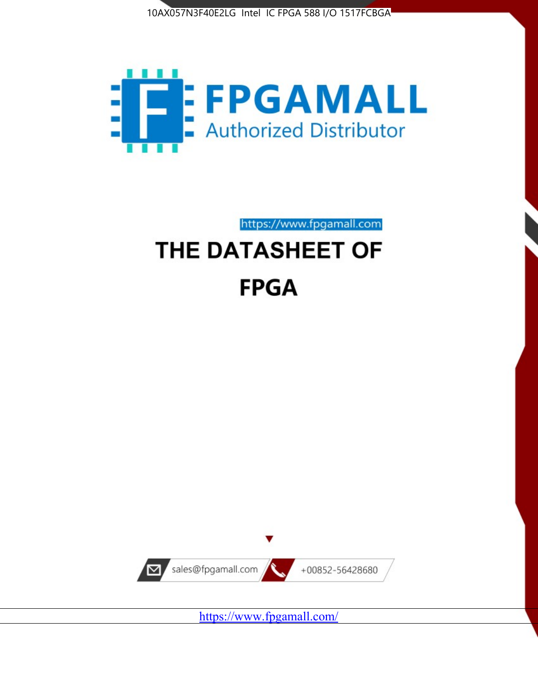



https://www.fpgamall.com

# THE DATASHEET OF **FPGA**



<https://www.fpgamall.com/>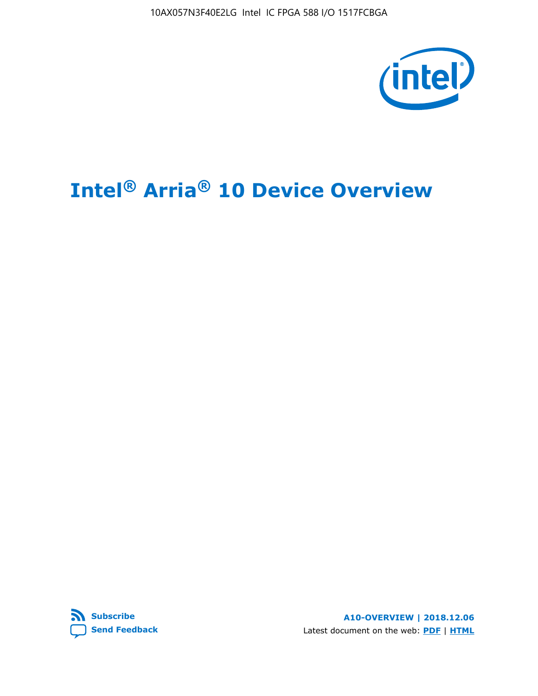10AX057N3F40E2LG Intel IC FPGA 588 I/O 1517FCBGA



# **Intel® Arria® 10 Device Overview**



**A10-OVERVIEW | 2018.12.06** Latest document on the web: **[PDF](https://www.intel.com/content/dam/www/programmable/us/en/pdfs/literature/hb/arria-10/a10_overview.pdf)** | **[HTML](https://www.intel.com/content/www/us/en/programmable/documentation/sam1403480274650.html)**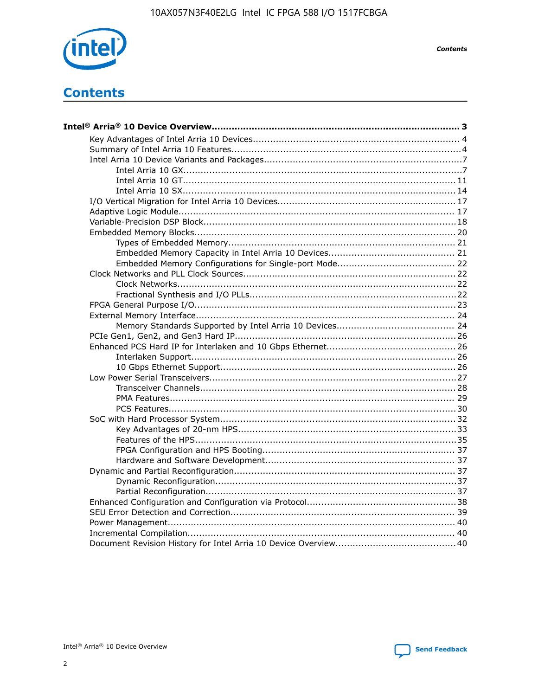

**Contents** 

# **Contents**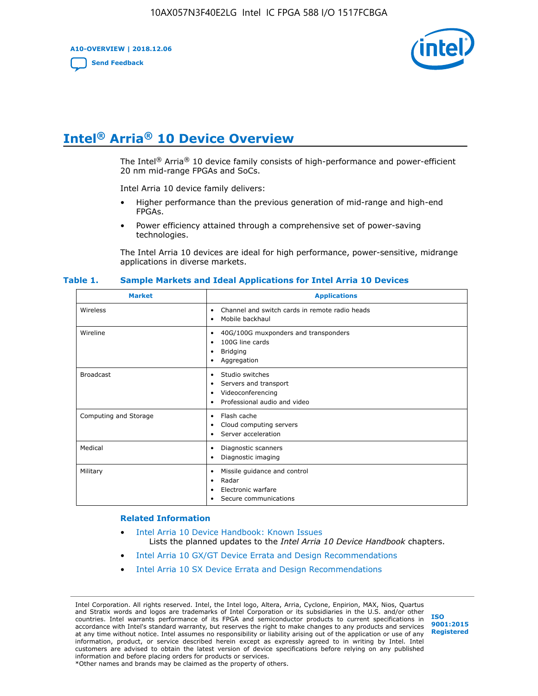**A10-OVERVIEW | 2018.12.06**

**[Send Feedback](mailto:FPGAtechdocfeedback@intel.com?subject=Feedback%20on%20Intel%20Arria%2010%20Device%20Overview%20(A10-OVERVIEW%202018.12.06)&body=We%20appreciate%20your%20feedback.%20In%20your%20comments,%20also%20specify%20the%20page%20number%20or%20paragraph.%20Thank%20you.)**



# **Intel® Arria® 10 Device Overview**

The Intel<sup>®</sup> Arria<sup>®</sup> 10 device family consists of high-performance and power-efficient 20 nm mid-range FPGAs and SoCs.

Intel Arria 10 device family delivers:

- Higher performance than the previous generation of mid-range and high-end FPGAs.
- Power efficiency attained through a comprehensive set of power-saving technologies.

The Intel Arria 10 devices are ideal for high performance, power-sensitive, midrange applications in diverse markets.

| <b>Market</b>         | <b>Applications</b>                                                                                               |
|-----------------------|-------------------------------------------------------------------------------------------------------------------|
| Wireless              | Channel and switch cards in remote radio heads<br>٠<br>Mobile backhaul<br>٠                                       |
| Wireline              | 40G/100G muxponders and transponders<br>٠<br>100G line cards<br>٠<br><b>Bridging</b><br>٠<br>Aggregation<br>٠     |
| <b>Broadcast</b>      | Studio switches<br>٠<br>Servers and transport<br>٠<br>Videoconferencing<br>٠<br>Professional audio and video<br>٠ |
| Computing and Storage | Flash cache<br>٠<br>Cloud computing servers<br>٠<br>Server acceleration<br>٠                                      |
| Medical               | Diagnostic scanners<br>٠<br>Diagnostic imaging<br>٠                                                               |
| Military              | Missile guidance and control<br>٠<br>Radar<br>٠<br>Electronic warfare<br>٠<br>Secure communications<br>٠          |

#### **Table 1. Sample Markets and Ideal Applications for Intel Arria 10 Devices**

#### **Related Information**

- [Intel Arria 10 Device Handbook: Known Issues](http://www.altera.com/support/kdb/solutions/rd07302013_646.html) Lists the planned updates to the *Intel Arria 10 Device Handbook* chapters.
- [Intel Arria 10 GX/GT Device Errata and Design Recommendations](https://www.intel.com/content/www/us/en/programmable/documentation/agz1493851706374.html#yqz1494433888646)
- [Intel Arria 10 SX Device Errata and Design Recommendations](https://www.intel.com/content/www/us/en/programmable/documentation/cru1462832385668.html#cru1462832558642)

Intel Corporation. All rights reserved. Intel, the Intel logo, Altera, Arria, Cyclone, Enpirion, MAX, Nios, Quartus and Stratix words and logos are trademarks of Intel Corporation or its subsidiaries in the U.S. and/or other countries. Intel warrants performance of its FPGA and semiconductor products to current specifications in accordance with Intel's standard warranty, but reserves the right to make changes to any products and services at any time without notice. Intel assumes no responsibility or liability arising out of the application or use of any information, product, or service described herein except as expressly agreed to in writing by Intel. Intel customers are advised to obtain the latest version of device specifications before relying on any published information and before placing orders for products or services. \*Other names and brands may be claimed as the property of others.

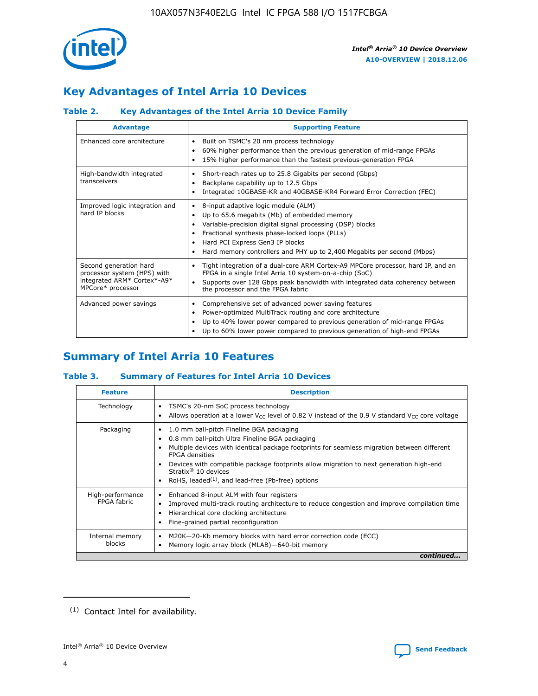

# **Key Advantages of Intel Arria 10 Devices**

## **Table 2. Key Advantages of the Intel Arria 10 Device Family**

| <b>Advantage</b>                                                                                          | <b>Supporting Feature</b>                                                                                                                                                                                                                                                                                                |  |  |  |  |  |  |
|-----------------------------------------------------------------------------------------------------------|--------------------------------------------------------------------------------------------------------------------------------------------------------------------------------------------------------------------------------------------------------------------------------------------------------------------------|--|--|--|--|--|--|
| Enhanced core architecture                                                                                | Built on TSMC's 20 nm process technology<br>٠<br>60% higher performance than the previous generation of mid-range FPGAs<br>٠<br>15% higher performance than the fastest previous-generation FPGA<br>٠                                                                                                                    |  |  |  |  |  |  |
| High-bandwidth integrated<br>transceivers                                                                 | Short-reach rates up to 25.8 Gigabits per second (Gbps)<br>٠<br>Backplane capability up to 12.5 Gbps<br>٠<br>Integrated 10GBASE-KR and 40GBASE-KR4 Forward Error Correction (FEC)<br>٠                                                                                                                                   |  |  |  |  |  |  |
| Improved logic integration and<br>hard IP blocks                                                          | 8-input adaptive logic module (ALM)<br>٠<br>Up to 65.6 megabits (Mb) of embedded memory<br>٠<br>Variable-precision digital signal processing (DSP) blocks<br>Fractional synthesis phase-locked loops (PLLs)<br>Hard PCI Express Gen3 IP blocks<br>Hard memory controllers and PHY up to 2,400 Megabits per second (Mbps) |  |  |  |  |  |  |
| Second generation hard<br>processor system (HPS) with<br>integrated ARM* Cortex*-A9*<br>MPCore* processor | Tight integration of a dual-core ARM Cortex-A9 MPCore processor, hard IP, and an<br>٠<br>FPGA in a single Intel Arria 10 system-on-a-chip (SoC)<br>Supports over 128 Gbps peak bandwidth with integrated data coherency between<br>$\bullet$<br>the processor and the FPGA fabric                                        |  |  |  |  |  |  |
| Advanced power savings                                                                                    | Comprehensive set of advanced power saving features<br>٠<br>Power-optimized MultiTrack routing and core architecture<br>٠<br>Up to 40% lower power compared to previous generation of mid-range FPGAs<br>Up to 60% lower power compared to previous generation of high-end FPGAs                                         |  |  |  |  |  |  |

# **Summary of Intel Arria 10 Features**

## **Table 3. Summary of Features for Intel Arria 10 Devices**

| <b>Feature</b>                  | <b>Description</b>                                                                                                                                                                                                                                                                                                                                                                                           |
|---------------------------------|--------------------------------------------------------------------------------------------------------------------------------------------------------------------------------------------------------------------------------------------------------------------------------------------------------------------------------------------------------------------------------------------------------------|
| Technology                      | TSMC's 20-nm SoC process technology<br>Allows operation at a lower $V_{\text{CC}}$ level of 0.82 V instead of the 0.9 V standard $V_{\text{CC}}$ core voltage                                                                                                                                                                                                                                                |
| Packaging                       | 1.0 mm ball-pitch Fineline BGA packaging<br>٠<br>0.8 mm ball-pitch Ultra Fineline BGA packaging<br>Multiple devices with identical package footprints for seamless migration between different<br><b>FPGA</b> densities<br>Devices with compatible package footprints allow migration to next generation high-end<br>Stratix <sup>®</sup> 10 devices<br>RoHS, leaded $(1)$ , and lead-free (Pb-free) options |
| High-performance<br>FPGA fabric | Enhanced 8-input ALM with four registers<br>Improved multi-track routing architecture to reduce congestion and improve compilation time<br>Hierarchical core clocking architecture<br>Fine-grained partial reconfiguration                                                                                                                                                                                   |
| Internal memory<br>blocks       | M20K-20-Kb memory blocks with hard error correction code (ECC)<br>Memory logic array block (MLAB)-640-bit memory                                                                                                                                                                                                                                                                                             |
|                                 | continued                                                                                                                                                                                                                                                                                                                                                                                                    |



<sup>(1)</sup> Contact Intel for availability.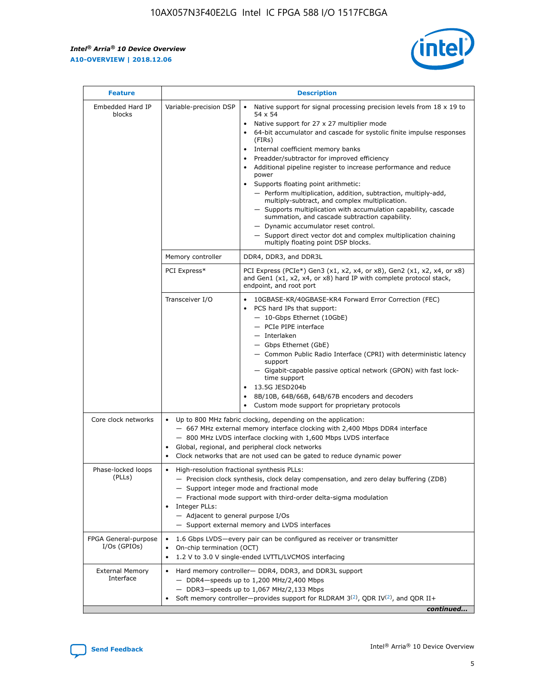$\mathsf{r}$ 



| <b>Feature</b>                         |                                                                                                                | <b>Description</b>                                                                                                                                                                                                                                                                                                                                                                                                                                                                                                                                                                                                                                                                                                                                                                                                                          |
|----------------------------------------|----------------------------------------------------------------------------------------------------------------|---------------------------------------------------------------------------------------------------------------------------------------------------------------------------------------------------------------------------------------------------------------------------------------------------------------------------------------------------------------------------------------------------------------------------------------------------------------------------------------------------------------------------------------------------------------------------------------------------------------------------------------------------------------------------------------------------------------------------------------------------------------------------------------------------------------------------------------------|
| Embedded Hard IP<br>blocks             | Variable-precision DSP                                                                                         | Native support for signal processing precision levels from $18 \times 19$ to<br>$\bullet$<br>54 x 54<br>Native support for 27 x 27 multiplier mode<br>64-bit accumulator and cascade for systolic finite impulse responses<br>(FIRs)<br>Internal coefficient memory banks<br>٠<br>Preadder/subtractor for improved efficiency<br>Additional pipeline register to increase performance and reduce<br>power<br>Supports floating point arithmetic:<br>- Perform multiplication, addition, subtraction, multiply-add,<br>multiply-subtract, and complex multiplication.<br>- Supports multiplication with accumulation capability, cascade<br>summation, and cascade subtraction capability.<br>- Dynamic accumulator reset control.<br>- Support direct vector dot and complex multiplication chaining<br>multiply floating point DSP blocks. |
|                                        | Memory controller                                                                                              | DDR4, DDR3, and DDR3L                                                                                                                                                                                                                                                                                                                                                                                                                                                                                                                                                                                                                                                                                                                                                                                                                       |
|                                        | PCI Express*                                                                                                   | PCI Express (PCIe*) Gen3 (x1, x2, x4, or x8), Gen2 (x1, x2, x4, or x8)<br>and Gen1 (x1, x2, x4, or x8) hard IP with complete protocol stack,<br>endpoint, and root port                                                                                                                                                                                                                                                                                                                                                                                                                                                                                                                                                                                                                                                                     |
|                                        | Transceiver I/O                                                                                                | 10GBASE-KR/40GBASE-KR4 Forward Error Correction (FEC)<br>PCS hard IPs that support:<br>- 10-Gbps Ethernet (10GbE)<br>- PCIe PIPE interface<br>- Interlaken<br>- Gbps Ethernet (GbE)<br>- Common Public Radio Interface (CPRI) with deterministic latency<br>support<br>- Gigabit-capable passive optical network (GPON) with fast lock-<br>time support<br>13.5G JESD204b<br>$\bullet$<br>8B/10B, 64B/66B, 64B/67B encoders and decoders<br>Custom mode support for proprietary protocols                                                                                                                                                                                                                                                                                                                                                   |
| Core clock networks                    | $\bullet$<br>$\bullet$                                                                                         | Up to 800 MHz fabric clocking, depending on the application:<br>- 667 MHz external memory interface clocking with 2,400 Mbps DDR4 interface<br>- 800 MHz LVDS interface clocking with 1,600 Mbps LVDS interface<br>Global, regional, and peripheral clock networks<br>Clock networks that are not used can be gated to reduce dynamic power                                                                                                                                                                                                                                                                                                                                                                                                                                                                                                 |
| Phase-locked loops<br>(PLLs)           | High-resolution fractional synthesis PLLs:<br>$\bullet$<br>Integer PLLs:<br>- Adjacent to general purpose I/Os | - Precision clock synthesis, clock delay compensation, and zero delay buffering (ZDB)<br>- Support integer mode and fractional mode<br>- Fractional mode support with third-order delta-sigma modulation<br>- Support external memory and LVDS interfaces                                                                                                                                                                                                                                                                                                                                                                                                                                                                                                                                                                                   |
| FPGA General-purpose<br>$I/Os$ (GPIOs) | On-chip termination (OCT)<br>$\bullet$                                                                         | 1.6 Gbps LVDS-every pair can be configured as receiver or transmitter<br>1.2 V to 3.0 V single-ended LVTTL/LVCMOS interfacing                                                                                                                                                                                                                                                                                                                                                                                                                                                                                                                                                                                                                                                                                                               |
| <b>External Memory</b><br>Interface    |                                                                                                                | Hard memory controller- DDR4, DDR3, and DDR3L support<br>$-$ DDR4 $-$ speeds up to 1,200 MHz/2,400 Mbps<br>- DDR3-speeds up to 1,067 MHz/2,133 Mbps<br>Soft memory controller—provides support for RLDRAM $3^{(2)}$ , QDR IV $(2^2)$ , and QDR II+<br>continued                                                                                                                                                                                                                                                                                                                                                                                                                                                                                                                                                                             |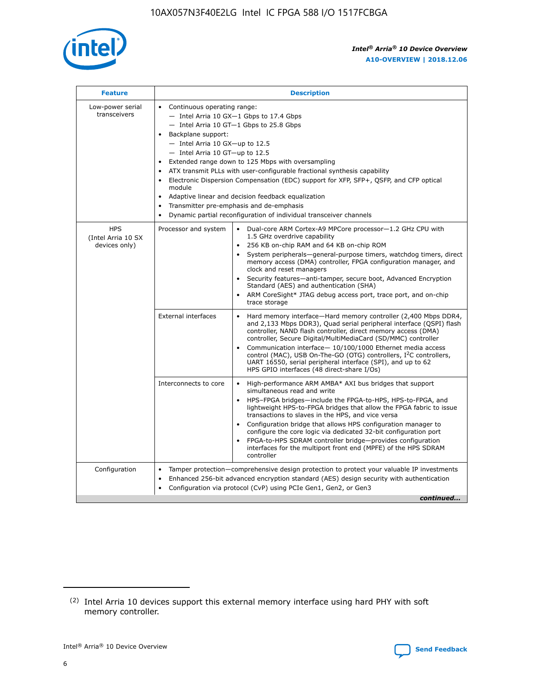

| <b>Feature</b>                                    | <b>Description</b>                                                                                                                                                                                                                                                                                                                                                                                                                                                                                                                                                                                                                                                        |
|---------------------------------------------------|---------------------------------------------------------------------------------------------------------------------------------------------------------------------------------------------------------------------------------------------------------------------------------------------------------------------------------------------------------------------------------------------------------------------------------------------------------------------------------------------------------------------------------------------------------------------------------------------------------------------------------------------------------------------------|
| Low-power serial<br>transceivers                  | • Continuous operating range:<br>- Intel Arria 10 GX-1 Gbps to 17.4 Gbps<br>$-$ Intel Arria 10 GT $-1$ Gbps to 25.8 Gbps<br>Backplane support:<br>$\bullet$<br>$-$ Intel Arria 10 GX-up to 12.5<br>$-$ Intel Arria 10 GT-up to 12.5<br>Extended range down to 125 Mbps with oversampling<br>ATX transmit PLLs with user-configurable fractional synthesis capability<br>Electronic Dispersion Compensation (EDC) support for XFP, SFP+, OSFP, and CFP optical<br>module<br>Adaptive linear and decision feedback equalization<br>$\bullet$<br>Transmitter pre-emphasis and de-emphasis<br>$\bullet$<br>Dynamic partial reconfiguration of individual transceiver channels |
| <b>HPS</b><br>(Intel Arria 10 SX<br>devices only) | Dual-core ARM Cortex-A9 MPCore processor-1.2 GHz CPU with<br>Processor and system<br>$\bullet$<br>1.5 GHz overdrive capability<br>256 KB on-chip RAM and 64 KB on-chip ROM<br>System peripherals-general-purpose timers, watchdog timers, direct<br>memory access (DMA) controller, FPGA configuration manager, and<br>clock and reset managers<br>• Security features—anti-tamper, secure boot, Advanced Encryption<br>Standard (AES) and authentication (SHA)<br>ARM CoreSight* JTAG debug access port, trace port, and on-chip<br>$\bullet$<br>trace storage                                                                                                           |
|                                                   | <b>External interfaces</b><br>Hard memory interface—Hard memory controller (2,400 Mbps DDR4,<br>and 2,133 Mbps DDR3), Quad serial peripheral interface (QSPI) flash<br>controller, NAND flash controller, direct memory access (DMA)<br>controller, Secure Digital/MultiMediaCard (SD/MMC) controller<br>Communication interface-10/100/1000 Ethernet media access<br>$\bullet$<br>control (MAC), USB On-The-GO (OTG) controllers, I <sup>2</sup> C controllers,<br>UART 16550, serial peripheral interface (SPI), and up to 62<br>HPS GPIO interfaces (48 direct-share I/Os)                                                                                             |
|                                                   | Interconnects to core<br>• High-performance ARM AMBA* AXI bus bridges that support<br>simultaneous read and write<br>HPS-FPGA bridges-include the FPGA-to-HPS, HPS-to-FPGA, and<br>$\bullet$<br>lightweight HPS-to-FPGA bridges that allow the FPGA fabric to issue<br>transactions to slaves in the HPS, and vice versa<br>Configuration bridge that allows HPS configuration manager to<br>configure the core logic via dedicated 32-bit configuration port<br>FPGA-to-HPS SDRAM controller bridge-provides configuration<br>interfaces for the multiport front end (MPFE) of the HPS SDRAM<br>controller                                                               |
| Configuration                                     | Tamper protection—comprehensive design protection to protect your valuable IP investments<br>Enhanced 256-bit advanced encryption standard (AES) design security with authentication<br>$\bullet$<br>Configuration via protocol (CvP) using PCIe Gen1, Gen2, or Gen3<br>continued                                                                                                                                                                                                                                                                                                                                                                                         |



<sup>(2)</sup> Intel Arria 10 devices support this external memory interface using hard PHY with soft memory controller.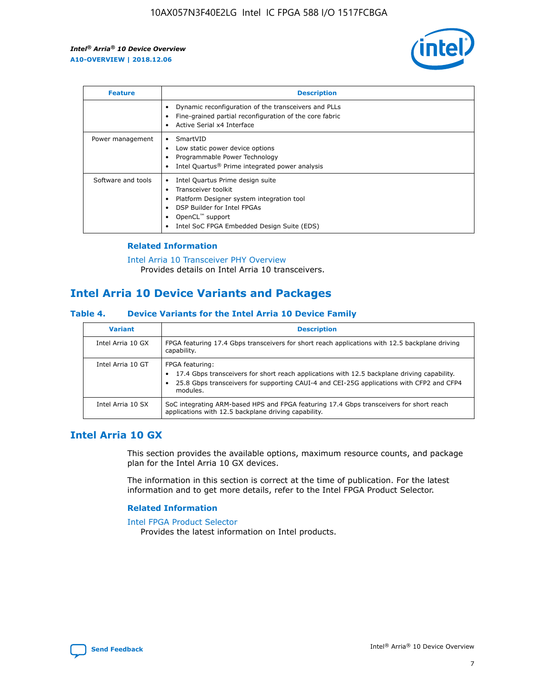

| <b>Feature</b>     | <b>Description</b>                                                                                                                                                                                               |
|--------------------|------------------------------------------------------------------------------------------------------------------------------------------------------------------------------------------------------------------|
|                    | Dynamic reconfiguration of the transceivers and PLLs<br>Fine-grained partial reconfiguration of the core fabric<br>Active Serial x4 Interface<br>$\bullet$                                                       |
| Power management   | SmartVID<br>Low static power device options<br>Programmable Power Technology<br>Intel Quartus <sup>®</sup> Prime integrated power analysis                                                                       |
| Software and tools | Intel Quartus Prime design suite<br>Transceiver toolkit<br>Platform Designer system integration tool<br>DSP Builder for Intel FPGAs<br>OpenCL <sup>™</sup> support<br>Intel SoC FPGA Embedded Design Suite (EDS) |

## **Related Information**

[Intel Arria 10 Transceiver PHY Overview](https://www.intel.com/content/www/us/en/programmable/documentation/nik1398707230472.html#nik1398706768037) Provides details on Intel Arria 10 transceivers.

## **Intel Arria 10 Device Variants and Packages**

#### **Table 4. Device Variants for the Intel Arria 10 Device Family**

| <b>Variant</b>    | <b>Description</b>                                                                                                                                                                                                     |
|-------------------|------------------------------------------------------------------------------------------------------------------------------------------------------------------------------------------------------------------------|
| Intel Arria 10 GX | FPGA featuring 17.4 Gbps transceivers for short reach applications with 12.5 backplane driving<br>capability.                                                                                                          |
| Intel Arria 10 GT | FPGA featuring:<br>17.4 Gbps transceivers for short reach applications with 12.5 backplane driving capability.<br>25.8 Gbps transceivers for supporting CAUI-4 and CEI-25G applications with CFP2 and CFP4<br>modules. |
| Intel Arria 10 SX | SoC integrating ARM-based HPS and FPGA featuring 17.4 Gbps transceivers for short reach<br>applications with 12.5 backplane driving capability.                                                                        |

## **Intel Arria 10 GX**

This section provides the available options, maximum resource counts, and package plan for the Intel Arria 10 GX devices.

The information in this section is correct at the time of publication. For the latest information and to get more details, refer to the Intel FPGA Product Selector.

#### **Related Information**

#### [Intel FPGA Product Selector](http://www.altera.com/products/selector/psg-selector.html) Provides the latest information on Intel products.

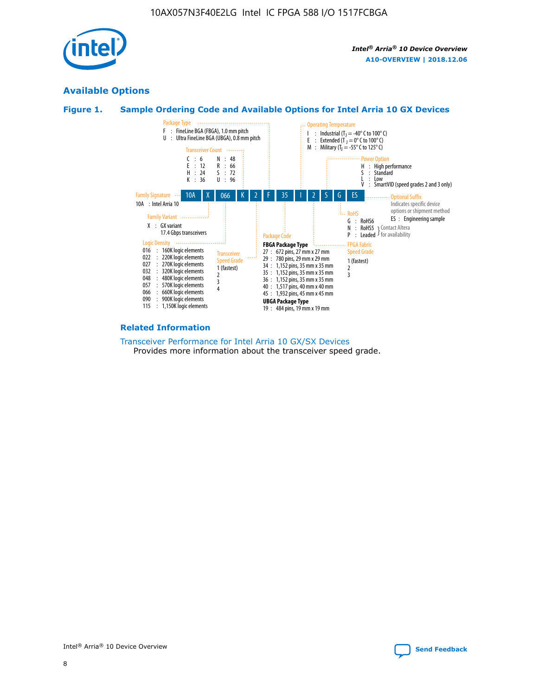

## **Available Options**





#### **Related Information**

[Transceiver Performance for Intel Arria 10 GX/SX Devices](https://www.intel.com/content/www/us/en/programmable/documentation/mcn1413182292568.html#mcn1413213965502) Provides more information about the transceiver speed grade.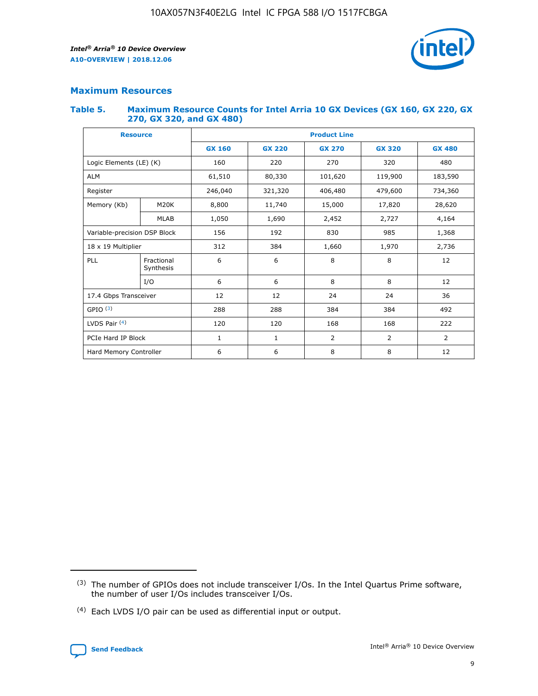

## **Maximum Resources**

#### **Table 5. Maximum Resource Counts for Intel Arria 10 GX Devices (GX 160, GX 220, GX 270, GX 320, and GX 480)**

| <b>Resource</b>              |                          | <b>Product Line</b> |                                |                |                |                |  |  |  |
|------------------------------|--------------------------|---------------------|--------------------------------|----------------|----------------|----------------|--|--|--|
|                              |                          | <b>GX 160</b>       | <b>GX 220</b><br><b>GX 270</b> |                | <b>GX 320</b>  | <b>GX 480</b>  |  |  |  |
| Logic Elements (LE) (K)      |                          | 160                 | 220                            | 270            | 320            | 480            |  |  |  |
| <b>ALM</b>                   |                          | 61,510              | 80,330                         | 101,620        | 119,900        | 183,590        |  |  |  |
| Register                     |                          | 246,040             | 321,320                        | 406,480        | 479,600        | 734,360        |  |  |  |
| Memory (Kb)                  | M <sub>20</sub> K        | 8,800               | 11,740                         | 15,000         | 17,820         | 28,620         |  |  |  |
| <b>MLAB</b>                  |                          | 1,050               | 1,690                          | 2,452          | 2,727          | 4,164          |  |  |  |
| Variable-precision DSP Block | 192<br>830<br>985<br>156 |                     |                                |                | 1,368          |                |  |  |  |
| 18 x 19 Multiplier           |                          | 312                 | 384                            | 1,660          | 1,970          | 2,736          |  |  |  |
| PLL                          | Fractional<br>Synthesis  | 6                   | 6                              | 8              | 8              | 12             |  |  |  |
|                              | I/O                      | 6                   | 6                              | 8              | 8              | 12             |  |  |  |
| 17.4 Gbps Transceiver        |                          | 12                  | 12                             | 24             | 24             |                |  |  |  |
| GPIO <sup>(3)</sup>          |                          | 288                 | 288                            | 384<br>384     |                | 492            |  |  |  |
| LVDS Pair $(4)$              |                          | 120                 | 120                            | 168            | 168            | 222            |  |  |  |
| PCIe Hard IP Block           |                          | $\mathbf{1}$        | 1                              | $\overline{2}$ | $\overline{2}$ | $\overline{2}$ |  |  |  |
| Hard Memory Controller       |                          | 6                   | 6                              | 8              | 8              | 12             |  |  |  |

<sup>(4)</sup> Each LVDS I/O pair can be used as differential input or output.



<sup>(3)</sup> The number of GPIOs does not include transceiver I/Os. In the Intel Quartus Prime software, the number of user I/Os includes transceiver I/Os.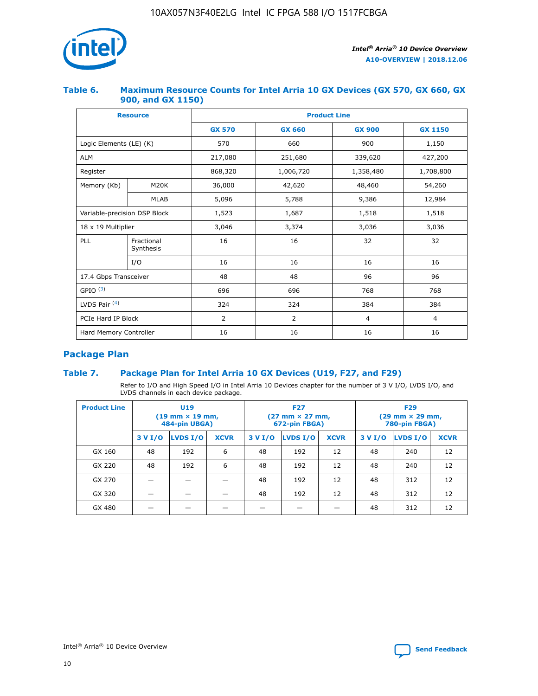

## **Table 6. Maximum Resource Counts for Intel Arria 10 GX Devices (GX 570, GX 660, GX 900, and GX 1150)**

|                              | <b>Resource</b>         | <b>Product Line</b> |                |                |                |  |  |  |
|------------------------------|-------------------------|---------------------|----------------|----------------|----------------|--|--|--|
|                              |                         | <b>GX 570</b>       | <b>GX 660</b>  |                | <b>GX 1150</b> |  |  |  |
| Logic Elements (LE) (K)      |                         | 570                 | 660            | 900            | 1,150          |  |  |  |
| <b>ALM</b>                   |                         | 217,080             | 251,680        | 339,620        | 427,200        |  |  |  |
| Register                     |                         | 868,320             | 1,006,720      | 1,358,480      | 1,708,800      |  |  |  |
| Memory (Kb)                  | <b>M20K</b>             | 36,000              | 42,620         | 48,460         | 54,260         |  |  |  |
|                              | <b>MLAB</b>             | 5,096               | 5,788          | 9,386          | 12,984         |  |  |  |
| Variable-precision DSP Block |                         | 1,523               | 1,687          | 1,518          | 1,518          |  |  |  |
| $18 \times 19$ Multiplier    |                         | 3,046               | 3,374          | 3,036          | 3,036          |  |  |  |
| PLL                          | Fractional<br>Synthesis | 16                  | 16             | 32             | 32             |  |  |  |
|                              | I/O                     | 16                  | 16             | 16             | 16             |  |  |  |
| 17.4 Gbps Transceiver        |                         | 48                  | 48             |                | 96             |  |  |  |
| GPIO <sup>(3)</sup>          |                         | 696                 | 696            | 768            | 768            |  |  |  |
| LVDS Pair $(4)$              |                         | 324                 | 324            | 384            | 384            |  |  |  |
| PCIe Hard IP Block           |                         | 2                   | $\overline{2}$ | $\overline{4}$ | 4              |  |  |  |
| Hard Memory Controller       |                         | 16                  | 16             | 16             | 16             |  |  |  |

## **Package Plan**

## **Table 7. Package Plan for Intel Arria 10 GX Devices (U19, F27, and F29)**

Refer to I/O and High Speed I/O in Intel Arria 10 Devices chapter for the number of 3 V I/O, LVDS I/O, and LVDS channels in each device package.

| <b>Product Line</b> | U <sub>19</sub><br>$(19 \text{ mm} \times 19 \text{ mm})$<br>484-pin UBGA) |          |             |         | <b>F27</b><br>(27 mm × 27 mm,<br>672-pin FBGA) |             | <b>F29</b><br>(29 mm × 29 mm,<br>780-pin FBGA) |          |             |  |
|---------------------|----------------------------------------------------------------------------|----------|-------------|---------|------------------------------------------------|-------------|------------------------------------------------|----------|-------------|--|
|                     | 3 V I/O                                                                    | LVDS I/O | <b>XCVR</b> | 3 V I/O | <b>LVDS I/O</b>                                | <b>XCVR</b> | 3 V I/O                                        | LVDS I/O | <b>XCVR</b> |  |
| GX 160              | 48                                                                         | 192      | 6           | 48      | 192                                            | 12          | 48                                             | 240      | 12          |  |
| GX 220              | 48                                                                         | 192      | 6           | 48      | 192                                            | 12          | 48                                             | 240      | 12          |  |
| GX 270              |                                                                            |          |             | 48      | 192                                            | 12          | 48                                             | 312      | 12          |  |
| GX 320              |                                                                            |          |             | 48      | 192                                            | 12          | 48                                             | 312      | 12          |  |
| GX 480              |                                                                            |          |             |         |                                                |             | 48                                             | 312      | 12          |  |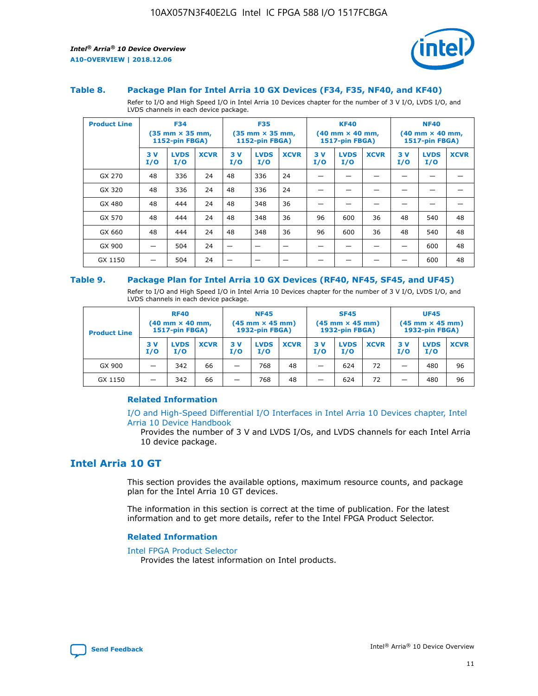

#### **Table 8. Package Plan for Intel Arria 10 GX Devices (F34, F35, NF40, and KF40)**

Refer to I/O and High Speed I/O in Intel Arria 10 Devices chapter for the number of 3 V I/O, LVDS I/O, and LVDS channels in each device package.

| <b>Product Line</b> | <b>F34</b><br>$(35 \text{ mm} \times 35 \text{ mm})$<br>1152-pin FBGA) |                    | <b>F35</b><br>$(35 \text{ mm} \times 35 \text{ mm})$<br><b>1152-pin FBGA)</b> |           | <b>KF40</b><br>$(40$ mm $\times$ 40 mm,<br>1517-pin FBGA) |             |           | <b>NF40</b><br>$(40$ mm $\times$ 40 mm,<br><b>1517-pin FBGA)</b> |             |            |                    |             |
|---------------------|------------------------------------------------------------------------|--------------------|-------------------------------------------------------------------------------|-----------|-----------------------------------------------------------|-------------|-----------|------------------------------------------------------------------|-------------|------------|--------------------|-------------|
|                     | 3V<br>I/O                                                              | <b>LVDS</b><br>I/O | <b>XCVR</b>                                                                   | 3V<br>I/O | <b>LVDS</b><br>I/O                                        | <b>XCVR</b> | 3V<br>I/O | <b>LVDS</b><br>I/O                                               | <b>XCVR</b> | 3 V<br>I/O | <b>LVDS</b><br>I/O | <b>XCVR</b> |
| GX 270              | 48                                                                     | 336                | 24                                                                            | 48        | 336                                                       | 24          |           |                                                                  |             |            |                    |             |
| GX 320              | 48                                                                     | 336                | 24                                                                            | 48        | 336                                                       | 24          |           |                                                                  |             |            |                    |             |
| GX 480              | 48                                                                     | 444                | 24                                                                            | 48        | 348                                                       | 36          |           |                                                                  |             |            |                    |             |
| GX 570              | 48                                                                     | 444                | 24                                                                            | 48        | 348                                                       | 36          | 96        | 600                                                              | 36          | 48         | 540                | 48          |
| GX 660              | 48                                                                     | 444                | 24                                                                            | 48        | 348                                                       | 36          | 96        | 600                                                              | 36          | 48         | 540                | 48          |
| GX 900              |                                                                        | 504                | 24                                                                            | -         |                                                           |             |           |                                                                  |             |            | 600                | 48          |
| GX 1150             |                                                                        | 504                | 24                                                                            |           |                                                           |             |           |                                                                  |             |            | 600                | 48          |

#### **Table 9. Package Plan for Intel Arria 10 GX Devices (RF40, NF45, SF45, and UF45)**

Refer to I/O and High Speed I/O in Intel Arria 10 Devices chapter for the number of 3 V I/O, LVDS I/O, and LVDS channels in each device package.

| <b>Product Line</b> | <b>RF40</b><br>$(40$ mm $\times$ 40 mm,<br>1517-pin FBGA) |                    | <b>NF45</b><br>$(45 \text{ mm} \times 45 \text{ mm})$<br><b>1932-pin FBGA)</b> |            |                    | <b>SF45</b><br>$(45 \text{ mm} \times 45 \text{ mm})$<br><b>1932-pin FBGA)</b> |            |                    | <b>UF45</b><br>$(45 \text{ mm} \times 45 \text{ mm})$<br><b>1932-pin FBGA)</b> |           |                    |             |
|---------------------|-----------------------------------------------------------|--------------------|--------------------------------------------------------------------------------|------------|--------------------|--------------------------------------------------------------------------------|------------|--------------------|--------------------------------------------------------------------------------|-----------|--------------------|-------------|
|                     | 3V<br>I/O                                                 | <b>LVDS</b><br>I/O | <b>XCVR</b>                                                                    | 3 V<br>I/O | <b>LVDS</b><br>I/O | <b>XCVR</b>                                                                    | 3 V<br>I/O | <b>LVDS</b><br>I/O | <b>XCVR</b>                                                                    | 3V<br>I/O | <b>LVDS</b><br>I/O | <b>XCVR</b> |
| GX 900              |                                                           | 342                | 66                                                                             | _          | 768                | 48                                                                             |            | 624                | 72                                                                             |           | 480                | 96          |
| GX 1150             |                                                           | 342                | 66                                                                             | _          | 768                | 48                                                                             |            | 624                | 72                                                                             |           | 480                | 96          |

#### **Related Information**

[I/O and High-Speed Differential I/O Interfaces in Intel Arria 10 Devices chapter, Intel](https://www.intel.com/content/www/us/en/programmable/documentation/sam1403482614086.html#sam1403482030321) [Arria 10 Device Handbook](https://www.intel.com/content/www/us/en/programmable/documentation/sam1403482614086.html#sam1403482030321)

Provides the number of 3 V and LVDS I/Os, and LVDS channels for each Intel Arria 10 device package.

## **Intel Arria 10 GT**

This section provides the available options, maximum resource counts, and package plan for the Intel Arria 10 GT devices.

The information in this section is correct at the time of publication. For the latest information and to get more details, refer to the Intel FPGA Product Selector.

#### **Related Information**

#### [Intel FPGA Product Selector](http://www.altera.com/products/selector/psg-selector.html)

Provides the latest information on Intel products.

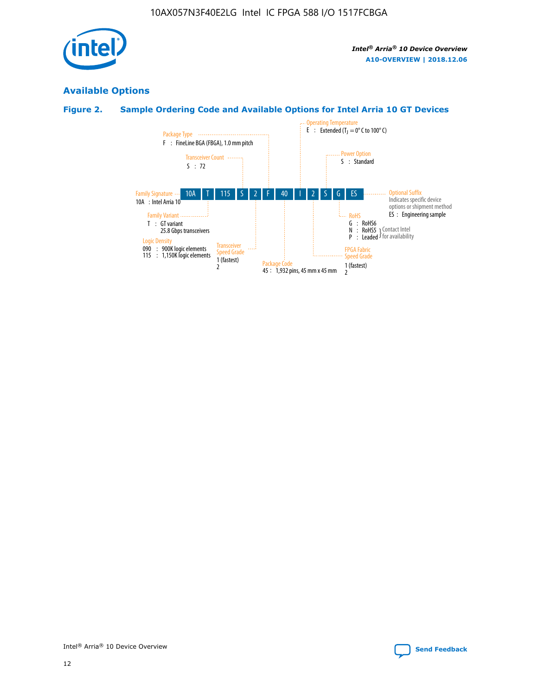

## **Available Options**

## **Figure 2. Sample Ordering Code and Available Options for Intel Arria 10 GT Devices**

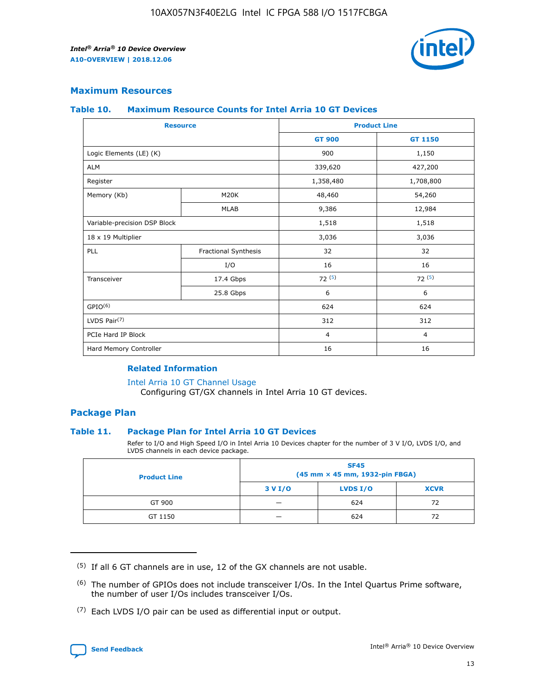

## **Maximum Resources**

#### **Table 10. Maximum Resource Counts for Intel Arria 10 GT Devices**

| <b>Resource</b>              |                      |                | <b>Product Line</b> |  |
|------------------------------|----------------------|----------------|---------------------|--|
|                              |                      | <b>GT 900</b>  | <b>GT 1150</b>      |  |
| Logic Elements (LE) (K)      |                      | 900            | 1,150               |  |
| <b>ALM</b>                   |                      | 339,620        | 427,200             |  |
| Register                     |                      | 1,358,480      | 1,708,800           |  |
| Memory (Kb)                  | M20K                 | 48,460         | 54,260              |  |
|                              | <b>MLAB</b>          | 9,386          | 12,984              |  |
| Variable-precision DSP Block |                      | 1,518          | 1,518               |  |
| 18 x 19 Multiplier           |                      | 3,036          | 3,036               |  |
| PLL                          | Fractional Synthesis | 32             | 32                  |  |
|                              | I/O                  | 16             | 16                  |  |
| Transceiver                  | 17.4 Gbps            | 72(5)          | 72(5)               |  |
|                              | 25.8 Gbps            | 6              | 6                   |  |
| GPIO <sup>(6)</sup>          |                      | 624            | 624                 |  |
| LVDS Pair $(7)$              |                      | 312            | 312                 |  |
| PCIe Hard IP Block           |                      | $\overline{4}$ | $\overline{4}$      |  |
| Hard Memory Controller       |                      | 16             | 16                  |  |

#### **Related Information**

#### [Intel Arria 10 GT Channel Usage](https://www.intel.com/content/www/us/en/programmable/documentation/nik1398707230472.html#nik1398707008178)

Configuring GT/GX channels in Intel Arria 10 GT devices.

## **Package Plan**

#### **Table 11. Package Plan for Intel Arria 10 GT Devices**

Refer to I/O and High Speed I/O in Intel Arria 10 Devices chapter for the number of 3 V I/O, LVDS I/O, and LVDS channels in each device package.

| <b>Product Line</b> | <b>SF45</b><br>(45 mm × 45 mm, 1932-pin FBGA) |                 |             |  |  |  |
|---------------------|-----------------------------------------------|-----------------|-------------|--|--|--|
|                     | 3 V I/O                                       | <b>LVDS I/O</b> | <b>XCVR</b> |  |  |  |
| GT 900              |                                               | 624             | 72          |  |  |  |
| GT 1150             |                                               | 624             | 72          |  |  |  |

<sup>(7)</sup> Each LVDS I/O pair can be used as differential input or output.



 $(5)$  If all 6 GT channels are in use, 12 of the GX channels are not usable.

<sup>(6)</sup> The number of GPIOs does not include transceiver I/Os. In the Intel Quartus Prime software, the number of user I/Os includes transceiver I/Os.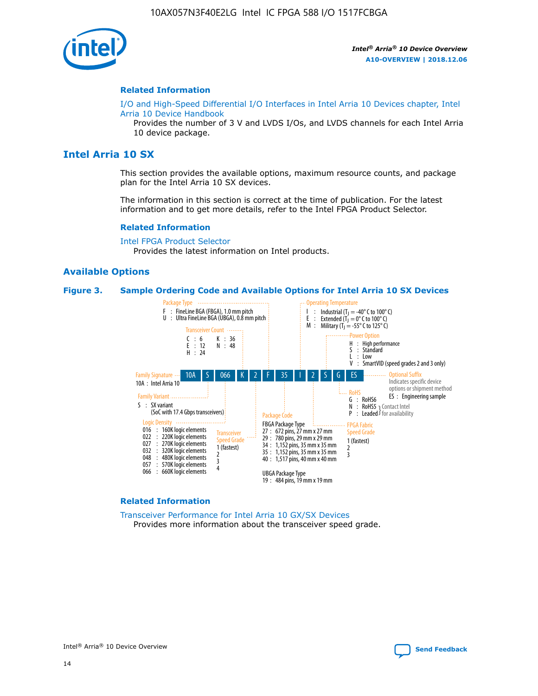

#### **Related Information**

[I/O and High-Speed Differential I/O Interfaces in Intel Arria 10 Devices chapter, Intel](https://www.intel.com/content/www/us/en/programmable/documentation/sam1403482614086.html#sam1403482030321) [Arria 10 Device Handbook](https://www.intel.com/content/www/us/en/programmable/documentation/sam1403482614086.html#sam1403482030321)

Provides the number of 3 V and LVDS I/Os, and LVDS channels for each Intel Arria 10 device package.

## **Intel Arria 10 SX**

This section provides the available options, maximum resource counts, and package plan for the Intel Arria 10 SX devices.

The information in this section is correct at the time of publication. For the latest information and to get more details, refer to the Intel FPGA Product Selector.

#### **Related Information**

[Intel FPGA Product Selector](http://www.altera.com/products/selector/psg-selector.html) Provides the latest information on Intel products.

#### **Available Options**

#### **Figure 3. Sample Ordering Code and Available Options for Intel Arria 10 SX Devices**



#### **Related Information**

[Transceiver Performance for Intel Arria 10 GX/SX Devices](https://www.intel.com/content/www/us/en/programmable/documentation/mcn1413182292568.html#mcn1413213965502) Provides more information about the transceiver speed grade.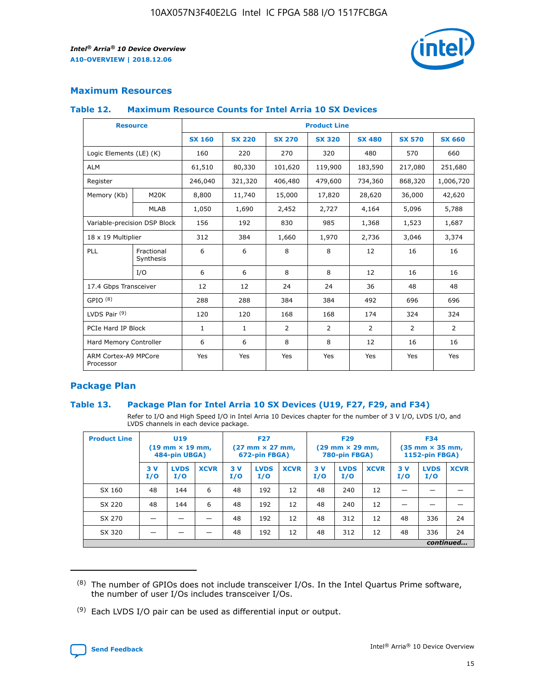

## **Maximum Resources**

#### **Table 12. Maximum Resource Counts for Intel Arria 10 SX Devices**

| <b>Resource</b>                   |                         | <b>Product Line</b> |               |                |                |                |                |                |  |  |  |
|-----------------------------------|-------------------------|---------------------|---------------|----------------|----------------|----------------|----------------|----------------|--|--|--|
|                                   |                         | <b>SX 160</b>       | <b>SX 220</b> | <b>SX 270</b>  | <b>SX 320</b>  | <b>SX 480</b>  | <b>SX 570</b>  | <b>SX 660</b>  |  |  |  |
| Logic Elements (LE) (K)           |                         | 160                 | 220           | 270            | 320            | 480            | 570            | 660            |  |  |  |
| <b>ALM</b>                        |                         | 61,510              | 80,330        | 101,620        | 119,900        | 183,590        | 217,080        | 251,680        |  |  |  |
| Register                          |                         | 246,040             | 321,320       | 406,480        | 479,600        | 734,360        | 868,320        | 1,006,720      |  |  |  |
| Memory (Kb)                       | M <sub>20</sub> K       | 8,800               | 11,740        | 15,000         | 17,820         | 28,620         | 36,000         | 42,620         |  |  |  |
|                                   | <b>MLAB</b>             | 1,050               | 1,690         | 2,452          | 2,727          | 4,164          | 5,096          | 5,788          |  |  |  |
| Variable-precision DSP Block      |                         | 156                 | 192           | 830            | 985            | 1,368          | 1,523          | 1,687          |  |  |  |
| 18 x 19 Multiplier                |                         | 312                 | 384           | 1,660          | 1,970          | 2,736          | 3,046          | 3,374          |  |  |  |
| PLL                               | Fractional<br>Synthesis | 6                   | 6             | 8              | 8              | 12             | 16             | 16             |  |  |  |
|                                   | I/O                     | 6                   | 6             | 8              | 8              | 12             | 16             | 16             |  |  |  |
| 17.4 Gbps Transceiver             |                         | 12                  | 12            | 24             | 24             | 36             | 48             | 48             |  |  |  |
| GPIO <sup>(8)</sup>               |                         | 288                 | 288           | 384            | 384            | 492            | 696            | 696            |  |  |  |
| LVDS Pair $(9)$                   |                         | 120                 | 120           | 168            | 168            | 174            | 324            | 324            |  |  |  |
| PCIe Hard IP Block                |                         | $\mathbf{1}$        | $\mathbf{1}$  | $\overline{2}$ | $\overline{2}$ | $\overline{2}$ | $\overline{2}$ | $\overline{2}$ |  |  |  |
| Hard Memory Controller            |                         | 6                   | 6             | 8              | 8              | 12             | 16             | 16             |  |  |  |
| ARM Cortex-A9 MPCore<br>Processor |                         | Yes                 | Yes           | Yes            | Yes            | Yes            | Yes            | <b>Yes</b>     |  |  |  |

## **Package Plan**

#### **Table 13. Package Plan for Intel Arria 10 SX Devices (U19, F27, F29, and F34)**

Refer to I/O and High Speed I/O in Intel Arria 10 Devices chapter for the number of 3 V I/O, LVDS I/O, and LVDS channels in each device package.

| <b>Product Line</b> | U <sub>19</sub><br>$(19 \text{ mm} \times 19 \text{ mm})$<br>484-pin UBGA) |                    | <b>F27</b><br>$(27 \text{ mm} \times 27 \text{ mm})$<br>672-pin FBGA) |           | <b>F29</b><br>$(29 \text{ mm} \times 29 \text{ mm})$<br>780-pin FBGA) |             |            | <b>F34</b><br>$(35 \text{ mm} \times 35 \text{ mm})$<br><b>1152-pin FBGA)</b> |             |           |                    |             |
|---------------------|----------------------------------------------------------------------------|--------------------|-----------------------------------------------------------------------|-----------|-----------------------------------------------------------------------|-------------|------------|-------------------------------------------------------------------------------|-------------|-----------|--------------------|-------------|
|                     | 3V<br>I/O                                                                  | <b>LVDS</b><br>I/O | <b>XCVR</b>                                                           | 3V<br>I/O | <b>LVDS</b><br>I/O                                                    | <b>XCVR</b> | 3 V<br>I/O | <b>LVDS</b><br>I/O                                                            | <b>XCVR</b> | 3V<br>I/O | <b>LVDS</b><br>I/O | <b>XCVR</b> |
| SX 160              | 48                                                                         | 144                | 6                                                                     | 48        | 192                                                                   | 12          | 48         | 240                                                                           | 12          | –         |                    |             |
| SX 220              | 48                                                                         | 144                | 6                                                                     | 48        | 192                                                                   | 12          | 48         | 240                                                                           | 12          |           |                    |             |
| SX 270              |                                                                            |                    |                                                                       | 48        | 192                                                                   | 12          | 48         | 312                                                                           | 12          | 48        | 336                | 24          |
| SX 320              |                                                                            |                    |                                                                       | 48        | 192                                                                   | 12          | 48         | 312                                                                           | 12          | 48        | 336                | 24          |
|                     | continued                                                                  |                    |                                                                       |           |                                                                       |             |            |                                                                               |             |           |                    |             |

 $(8)$  The number of GPIOs does not include transceiver I/Os. In the Intel Quartus Prime software, the number of user I/Os includes transceiver I/Os.

 $(9)$  Each LVDS I/O pair can be used as differential input or output.

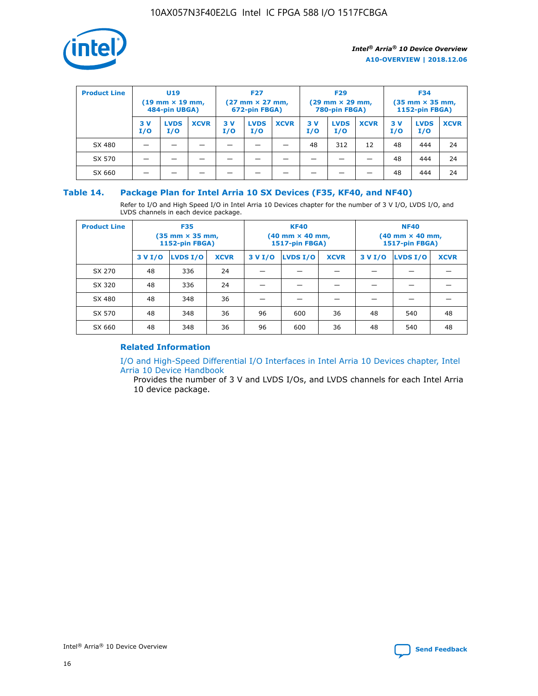

| <b>Product Line</b> | U <sub>19</sub><br>$(19 \text{ mm} \times 19 \text{ mm})$<br>484-pin UBGA) |                    | <b>F27</b><br>$(27 \text{ mm} \times 27 \text{ mm})$<br>672-pin FBGA) |           | <b>F29</b><br>$(29 \text{ mm} \times 29 \text{ mm})$<br>780-pin FBGA) |             |           | <b>F34</b><br>$(35$ mm $\times$ 35 mm,<br><b>1152-pin FBGA)</b> |             |           |                    |             |
|---------------------|----------------------------------------------------------------------------|--------------------|-----------------------------------------------------------------------|-----------|-----------------------------------------------------------------------|-------------|-----------|-----------------------------------------------------------------|-------------|-----------|--------------------|-------------|
|                     | 3V<br>I/O                                                                  | <b>LVDS</b><br>I/O | <b>XCVR</b>                                                           | 3V<br>I/O | <b>LVDS</b><br>I/O                                                    | <b>XCVR</b> | 3V<br>I/O | <b>LVDS</b><br>I/O                                              | <b>XCVR</b> | 3V<br>I/O | <b>LVDS</b><br>I/O | <b>XCVR</b> |
| SX 480              |                                                                            |                    |                                                                       |           |                                                                       |             | 48        | 312                                                             | 12          | 48        | 444                | 24          |
| SX 570              |                                                                            |                    |                                                                       |           |                                                                       |             |           |                                                                 |             | 48        | 444                | 24          |
| SX 660              |                                                                            |                    |                                                                       |           |                                                                       |             |           |                                                                 |             | 48        | 444                | 24          |

## **Table 14. Package Plan for Intel Arria 10 SX Devices (F35, KF40, and NF40)**

Refer to I/O and High Speed I/O in Intel Arria 10 Devices chapter for the number of 3 V I/O, LVDS I/O, and LVDS channels in each device package.

| <b>Product Line</b> | <b>F35</b><br>$(35 \text{ mm} \times 35 \text{ mm})$<br><b>1152-pin FBGA)</b> |          |             |                                           | <b>KF40</b><br>(40 mm × 40 mm,<br>1517-pin FBGA) |    | <b>NF40</b><br>$(40 \text{ mm} \times 40 \text{ mm})$<br>1517-pin FBGA) |          |             |  |
|---------------------|-------------------------------------------------------------------------------|----------|-------------|-------------------------------------------|--------------------------------------------------|----|-------------------------------------------------------------------------|----------|-------------|--|
|                     | 3 V I/O                                                                       | LVDS I/O | <b>XCVR</b> | <b>LVDS I/O</b><br><b>XCVR</b><br>3 V I/O |                                                  |    | 3 V I/O                                                                 | LVDS I/O | <b>XCVR</b> |  |
| SX 270              | 48                                                                            | 336      | 24          |                                           |                                                  |    |                                                                         |          |             |  |
| SX 320              | 48                                                                            | 336      | 24          |                                           |                                                  |    |                                                                         |          |             |  |
| SX 480              | 48                                                                            | 348      | 36          |                                           |                                                  |    |                                                                         |          |             |  |
| SX 570              | 48                                                                            | 348      | 36          | 96<br>36<br>600                           |                                                  | 48 | 540                                                                     | 48       |             |  |
| SX 660              | 48                                                                            | 348      | 36          | 96                                        | 600                                              | 36 | 48                                                                      | 540      | 48          |  |

## **Related Information**

[I/O and High-Speed Differential I/O Interfaces in Intel Arria 10 Devices chapter, Intel](https://www.intel.com/content/www/us/en/programmable/documentation/sam1403482614086.html#sam1403482030321) [Arria 10 Device Handbook](https://www.intel.com/content/www/us/en/programmable/documentation/sam1403482614086.html#sam1403482030321)

Provides the number of 3 V and LVDS I/Os, and LVDS channels for each Intel Arria 10 device package.

Intel<sup>®</sup> Arria<sup>®</sup> 10 Device Overview **[Send Feedback](mailto:FPGAtechdocfeedback@intel.com?subject=Feedback%20on%20Intel%20Arria%2010%20Device%20Overview%20(A10-OVERVIEW%202018.12.06)&body=We%20appreciate%20your%20feedback.%20In%20your%20comments,%20also%20specify%20the%20page%20number%20or%20paragraph.%20Thank%20you.)** Send Feedback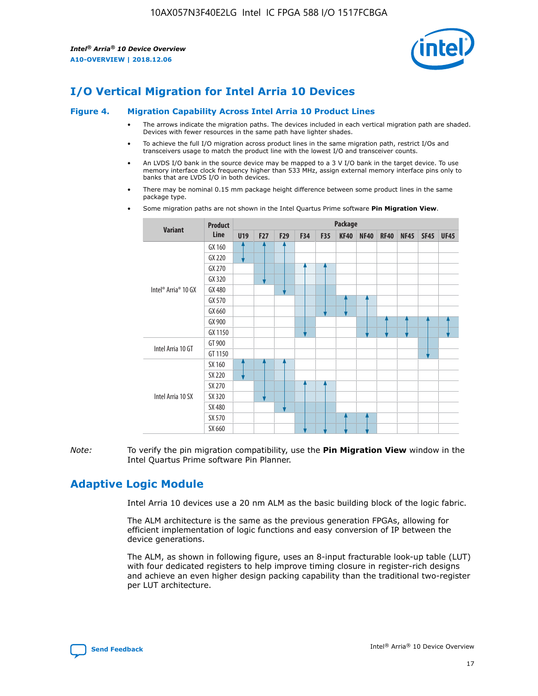

# **I/O Vertical Migration for Intel Arria 10 Devices**

#### **Figure 4. Migration Capability Across Intel Arria 10 Product Lines**

- The arrows indicate the migration paths. The devices included in each vertical migration path are shaded. Devices with fewer resources in the same path have lighter shades.
- To achieve the full I/O migration across product lines in the same migration path, restrict I/Os and transceivers usage to match the product line with the lowest I/O and transceiver counts.
- An LVDS I/O bank in the source device may be mapped to a 3 V I/O bank in the target device. To use memory interface clock frequency higher than 533 MHz, assign external memory interface pins only to banks that are LVDS I/O in both devices.
- There may be nominal 0.15 mm package height difference between some product lines in the same package type.
	- **Variant Product Line Package U19 F27 F29 F34 F35 KF40 NF40 RF40 NF45 SF45 UF45** Intel® Arria® 10 GX GX 160 GX 220 GX 270 GX 320 GX 480 GX 570 GX 660 GX 900 GX 1150 Intel Arria 10 GT GT 900 GT 1150 Intel Arria 10 SX SX 160 SX 220 SX 270 SX 320 SX 480 SX 570 SX 660
- Some migration paths are not shown in the Intel Quartus Prime software **Pin Migration View**.

*Note:* To verify the pin migration compatibility, use the **Pin Migration View** window in the Intel Quartus Prime software Pin Planner.

# **Adaptive Logic Module**

Intel Arria 10 devices use a 20 nm ALM as the basic building block of the logic fabric.

The ALM architecture is the same as the previous generation FPGAs, allowing for efficient implementation of logic functions and easy conversion of IP between the device generations.

The ALM, as shown in following figure, uses an 8-input fracturable look-up table (LUT) with four dedicated registers to help improve timing closure in register-rich designs and achieve an even higher design packing capability than the traditional two-register per LUT architecture.

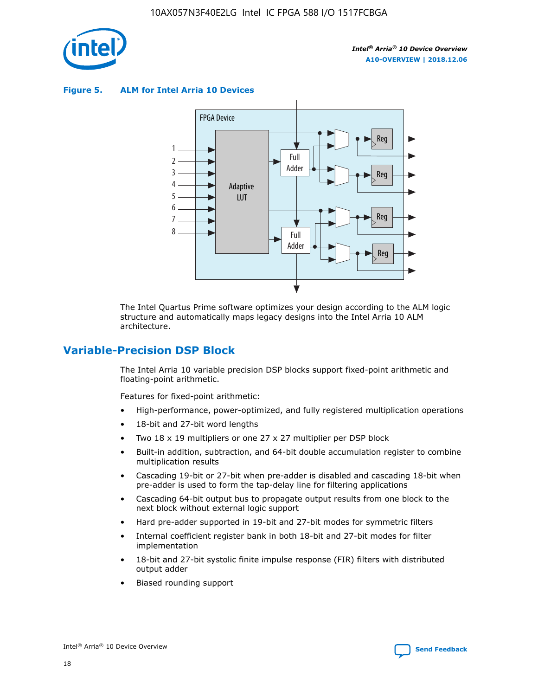

**Figure 5. ALM for Intel Arria 10 Devices**



The Intel Quartus Prime software optimizes your design according to the ALM logic structure and automatically maps legacy designs into the Intel Arria 10 ALM architecture.

## **Variable-Precision DSP Block**

The Intel Arria 10 variable precision DSP blocks support fixed-point arithmetic and floating-point arithmetic.

Features for fixed-point arithmetic:

- High-performance, power-optimized, and fully registered multiplication operations
- 18-bit and 27-bit word lengths
- Two 18 x 19 multipliers or one 27 x 27 multiplier per DSP block
- Built-in addition, subtraction, and 64-bit double accumulation register to combine multiplication results
- Cascading 19-bit or 27-bit when pre-adder is disabled and cascading 18-bit when pre-adder is used to form the tap-delay line for filtering applications
- Cascading 64-bit output bus to propagate output results from one block to the next block without external logic support
- Hard pre-adder supported in 19-bit and 27-bit modes for symmetric filters
- Internal coefficient register bank in both 18-bit and 27-bit modes for filter implementation
- 18-bit and 27-bit systolic finite impulse response (FIR) filters with distributed output adder
- Biased rounding support

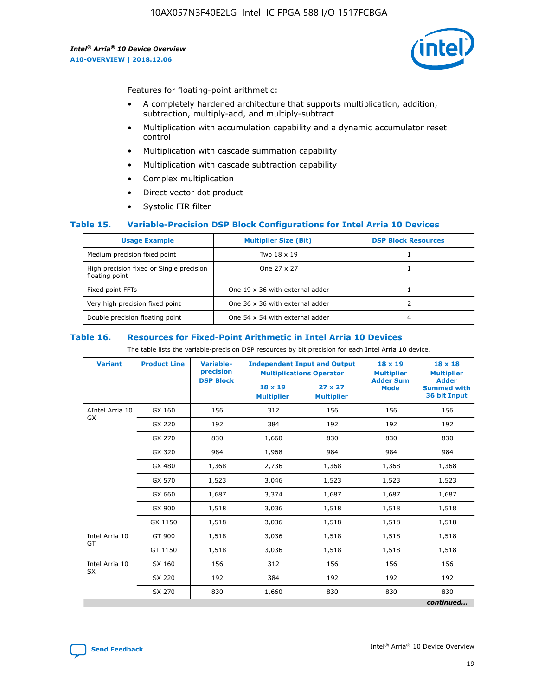

Features for floating-point arithmetic:

- A completely hardened architecture that supports multiplication, addition, subtraction, multiply-add, and multiply-subtract
- Multiplication with accumulation capability and a dynamic accumulator reset control
- Multiplication with cascade summation capability
- Multiplication with cascade subtraction capability
- Complex multiplication
- Direct vector dot product
- Systolic FIR filter

#### **Table 15. Variable-Precision DSP Block Configurations for Intel Arria 10 Devices**

| <b>Usage Example</b>                                       | <b>Multiplier Size (Bit)</b>    | <b>DSP Block Resources</b> |
|------------------------------------------------------------|---------------------------------|----------------------------|
| Medium precision fixed point                               | Two 18 x 19                     |                            |
| High precision fixed or Single precision<br>floating point | One 27 x 27                     |                            |
| Fixed point FFTs                                           | One 19 x 36 with external adder |                            |
| Very high precision fixed point                            | One 36 x 36 with external adder |                            |
| Double precision floating point                            | One 54 x 54 with external adder | 4                          |

#### **Table 16. Resources for Fixed-Point Arithmetic in Intel Arria 10 Devices**

The table lists the variable-precision DSP resources by bit precision for each Intel Arria 10 device.

| <b>Variant</b>        | <b>Product Line</b> | <b>Variable-</b><br>precision<br><b>DSP Block</b> | <b>Independent Input and Output</b><br><b>Multiplications Operator</b> |                                     | 18 x 19<br><b>Multiplier</b><br><b>Adder Sum</b> | $18 \times 18$<br><b>Multiplier</b><br><b>Adder</b> |
|-----------------------|---------------------|---------------------------------------------------|------------------------------------------------------------------------|-------------------------------------|--------------------------------------------------|-----------------------------------------------------|
|                       |                     |                                                   | 18 x 19<br><b>Multiplier</b>                                           | $27 \times 27$<br><b>Multiplier</b> | <b>Mode</b>                                      | <b>Summed with</b><br>36 bit Input                  |
| AIntel Arria 10<br>GX | GX 160              | 156                                               | 312                                                                    | 156                                 | 156                                              | 156                                                 |
|                       | GX 220              | 192                                               | 384                                                                    | 192                                 | 192                                              | 192                                                 |
|                       | GX 270              | 830                                               | 1,660                                                                  | 830                                 | 830                                              | 830                                                 |
|                       | GX 320              | 984                                               | 1,968                                                                  | 984                                 | 984                                              | 984                                                 |
|                       | GX 480              | 1,368                                             | 2,736                                                                  | 1,368                               | 1,368                                            | 1,368                                               |
|                       | GX 570              | 1,523                                             | 3,046                                                                  | 1,523                               | 1,523                                            | 1,523                                               |
|                       | GX 660              | 1,687                                             | 3,374                                                                  | 1,687                               | 1,687                                            | 1,687                                               |
|                       | GX 900              | 1,518                                             | 3,036                                                                  | 1,518                               | 1,518                                            | 1,518                                               |
|                       | GX 1150             | 1,518                                             | 3,036                                                                  | 1,518                               | 1,518                                            | 1,518                                               |
| Intel Arria 10        | GT 900              | 1,518                                             | 3,036                                                                  | 1,518                               | 1,518                                            | 1,518                                               |
| GT                    | GT 1150             | 1,518                                             | 3,036                                                                  | 1,518                               | 1,518                                            | 1,518                                               |
| Intel Arria 10        | SX 160              | 156                                               | 312                                                                    | 156                                 | 156                                              | 156                                                 |
| <b>SX</b>             | SX 220<br>192       |                                                   | 384                                                                    | 192                                 | 192                                              | 192                                                 |
|                       | SX 270              | 830                                               | 830<br>1,660                                                           |                                     | 830                                              | 830                                                 |
|                       |                     |                                                   |                                                                        |                                     |                                                  | continued                                           |

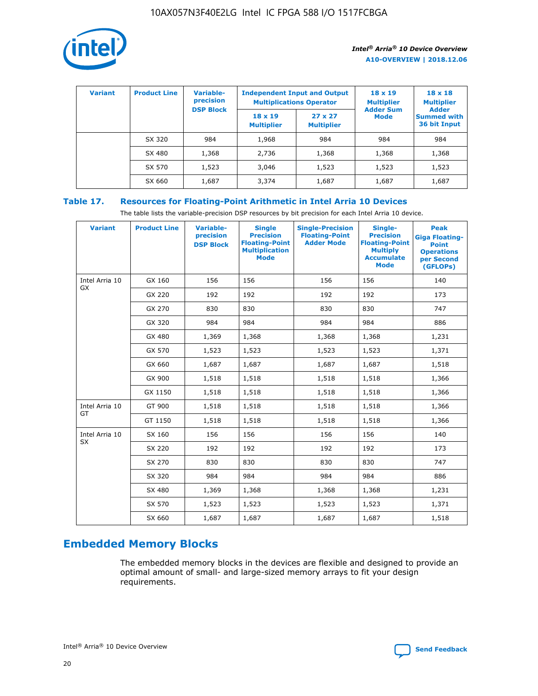

| <b>Variant</b> | <b>Product Line</b> | Variable-<br>precision | <b>Independent Input and Output</b><br><b>Multiplications Operator</b> |                                     | $18 \times 19$<br><b>Multiplier</b> | $18 \times 18$<br><b>Multiplier</b><br><b>Adder</b> |  |
|----------------|---------------------|------------------------|------------------------------------------------------------------------|-------------------------------------|-------------------------------------|-----------------------------------------------------|--|
|                |                     | <b>DSP Block</b>       | $18 \times 19$<br><b>Multiplier</b>                                    | $27 \times 27$<br><b>Multiplier</b> | <b>Adder Sum</b><br><b>Mode</b>     | <b>Summed with</b><br>36 bit Input                  |  |
|                | SX 320              | 984                    | 1,968                                                                  | 984                                 | 984                                 | 984                                                 |  |
|                | SX 480              | 1,368                  | 2,736                                                                  | 1,368                               | 1,368                               | 1,368                                               |  |
|                | SX 570              | 1,523                  | 3,046                                                                  | 1,523                               | 1,523                               | 1,523                                               |  |
|                | SX 660              | 1,687                  | 3,374                                                                  | 1,687                               | 1,687                               | 1,687                                               |  |

## **Table 17. Resources for Floating-Point Arithmetic in Intel Arria 10 Devices**

The table lists the variable-precision DSP resources by bit precision for each Intel Arria 10 device.

| <b>Variant</b> | <b>Product Line</b> | <b>Variable-</b><br>precision<br><b>DSP Block</b> | <b>Single</b><br><b>Precision</b><br><b>Floating-Point</b><br><b>Multiplication</b><br><b>Mode</b> | <b>Single-Precision</b><br><b>Floating-Point</b><br><b>Adder Mode</b> | Single-<br><b>Precision</b><br><b>Floating-Point</b><br><b>Multiply</b><br><b>Accumulate</b><br><b>Mode</b> | <b>Peak</b><br><b>Giga Floating-</b><br><b>Point</b><br><b>Operations</b><br>per Second<br>(GFLOPs) |
|----------------|---------------------|---------------------------------------------------|----------------------------------------------------------------------------------------------------|-----------------------------------------------------------------------|-------------------------------------------------------------------------------------------------------------|-----------------------------------------------------------------------------------------------------|
| Intel Arria 10 | GX 160              | 156                                               | 156                                                                                                | 156                                                                   | 156                                                                                                         | 140                                                                                                 |
| GX             | GX 220              | 192                                               | 192                                                                                                | 192                                                                   | 192                                                                                                         | 173                                                                                                 |
|                | GX 270              | 830                                               | 830                                                                                                | 830                                                                   | 830                                                                                                         | 747                                                                                                 |
|                | GX 320              | 984                                               | 984                                                                                                | 984                                                                   | 984                                                                                                         | 886                                                                                                 |
|                | GX 480              | 1,369                                             | 1,368                                                                                              | 1,368                                                                 | 1,368                                                                                                       | 1,231                                                                                               |
|                | GX 570              | 1,523                                             | 1,523                                                                                              | 1,523                                                                 | 1,523                                                                                                       | 1,371                                                                                               |
|                | GX 660              | 1,687                                             | 1,687                                                                                              | 1,687                                                                 | 1,687                                                                                                       | 1,518                                                                                               |
|                | GX 900              | 1,518                                             | 1,518                                                                                              | 1,518                                                                 | 1,518                                                                                                       | 1,366                                                                                               |
|                | GX 1150             | 1,518                                             | 1,518                                                                                              | 1,518                                                                 | 1,518                                                                                                       | 1,366                                                                                               |
| Intel Arria 10 | GT 900              | 1,518                                             | 1,518                                                                                              | 1,518                                                                 | 1,518                                                                                                       | 1,366                                                                                               |
| GT             | GT 1150             | 1,518                                             | 1,518                                                                                              | 1,518                                                                 | 1,518                                                                                                       | 1,366                                                                                               |
| Intel Arria 10 | SX 160              | 156                                               | 156                                                                                                | 156                                                                   | 156                                                                                                         | 140                                                                                                 |
| <b>SX</b>      | SX 220              | 192                                               | 192                                                                                                | 192                                                                   | 192                                                                                                         | 173                                                                                                 |
|                | SX 270              | 830                                               | 830                                                                                                | 830                                                                   | 830                                                                                                         | 747                                                                                                 |
|                | SX 320              | 984                                               | 984                                                                                                | 984                                                                   | 984                                                                                                         | 886                                                                                                 |
|                | SX 480              | 1,369                                             | 1,368                                                                                              | 1,368                                                                 | 1,368                                                                                                       | 1,231                                                                                               |
|                | SX 570              | 1,523                                             | 1,523                                                                                              | 1,523                                                                 | 1,523                                                                                                       | 1,371                                                                                               |
|                | SX 660              | 1,687                                             | 1,687                                                                                              | 1,687                                                                 | 1,687                                                                                                       | 1,518                                                                                               |

# **Embedded Memory Blocks**

The embedded memory blocks in the devices are flexible and designed to provide an optimal amount of small- and large-sized memory arrays to fit your design requirements.

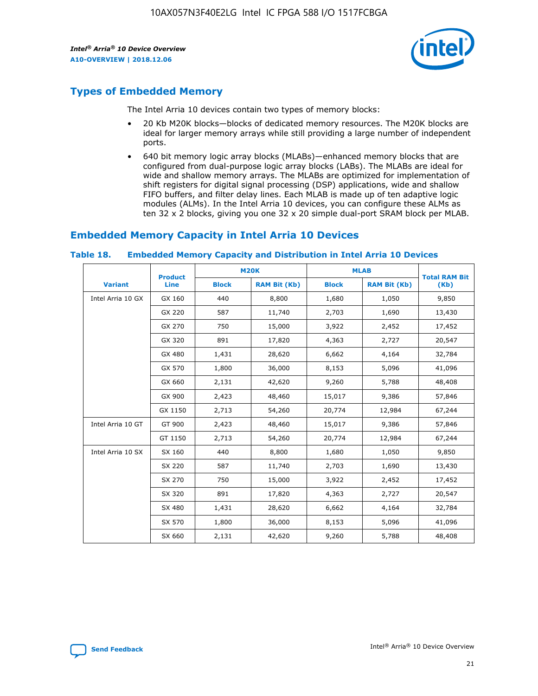

# **Types of Embedded Memory**

The Intel Arria 10 devices contain two types of memory blocks:

- 20 Kb M20K blocks—blocks of dedicated memory resources. The M20K blocks are ideal for larger memory arrays while still providing a large number of independent ports.
- 640 bit memory logic array blocks (MLABs)—enhanced memory blocks that are configured from dual-purpose logic array blocks (LABs). The MLABs are ideal for wide and shallow memory arrays. The MLABs are optimized for implementation of shift registers for digital signal processing (DSP) applications, wide and shallow FIFO buffers, and filter delay lines. Each MLAB is made up of ten adaptive logic modules (ALMs). In the Intel Arria 10 devices, you can configure these ALMs as ten 32 x 2 blocks, giving you one 32 x 20 simple dual-port SRAM block per MLAB.

## **Embedded Memory Capacity in Intel Arria 10 Devices**

|                   | <b>Product</b> |              | <b>M20K</b>         | <b>MLAB</b>  |                     | <b>Total RAM Bit</b> |
|-------------------|----------------|--------------|---------------------|--------------|---------------------|----------------------|
| <b>Variant</b>    | <b>Line</b>    | <b>Block</b> | <b>RAM Bit (Kb)</b> | <b>Block</b> | <b>RAM Bit (Kb)</b> | (Kb)                 |
| Intel Arria 10 GX | GX 160         | 440          | 8,800               | 1,680        | 1,050               | 9,850                |
|                   | GX 220         | 587          | 11,740              | 2,703        | 1,690               | 13,430               |
|                   | GX 270         | 750          | 15,000              | 3,922        | 2,452               | 17,452               |
|                   | GX 320         | 891          | 17,820              | 4,363        | 2,727               | 20,547               |
|                   | GX 480         | 1,431        | 28,620              | 6,662        | 4,164               | 32,784               |
|                   | GX 570         | 1,800        | 36,000              | 8,153        | 5,096               | 41,096               |
|                   | GX 660         | 2,131        | 42,620              | 9,260        | 5,788               | 48,408               |
|                   | GX 900         | 2,423        | 48,460              | 15,017       | 9,386               | 57,846               |
|                   | GX 1150        | 2,713        | 54,260              | 20,774       | 12,984              | 67,244               |
| Intel Arria 10 GT | GT 900         | 2,423        | 48,460              | 15,017       | 9,386               | 57,846               |
|                   | GT 1150        | 2,713        | 54,260              | 20,774       | 12,984              | 67,244               |
| Intel Arria 10 SX | SX 160         | 440          | 8,800               | 1,680        | 1,050               | 9,850                |
|                   | SX 220         | 587          | 11,740              | 2,703        | 1,690               | 13,430               |
|                   | SX 270         | 750          | 15,000              | 3,922        | 2,452               | 17,452               |
|                   | SX 320         | 891          | 17,820              | 4,363        | 2,727               | 20,547               |
|                   | SX 480         | 1,431        | 28,620              | 6,662        | 4,164               | 32,784               |
|                   | SX 570         | 1,800        | 36,000              | 8,153        | 5,096               | 41,096               |
|                   | SX 660         | 2,131        | 42,620              | 9,260        | 5,788               | 48,408               |

#### **Table 18. Embedded Memory Capacity and Distribution in Intel Arria 10 Devices**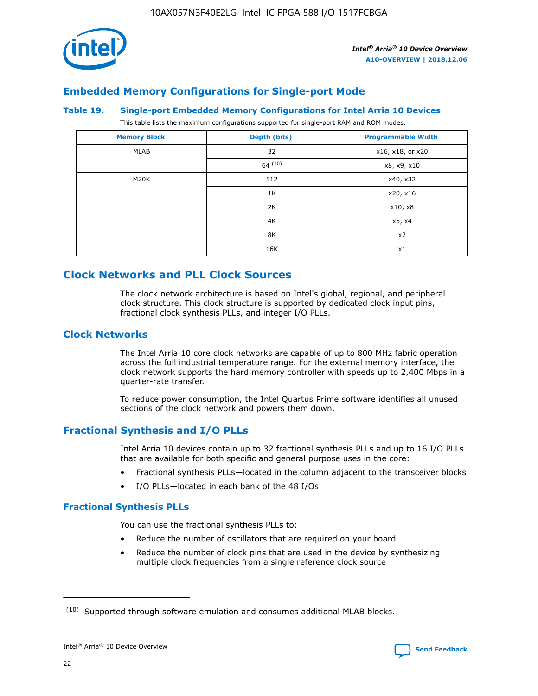

## **Embedded Memory Configurations for Single-port Mode**

#### **Table 19. Single-port Embedded Memory Configurations for Intel Arria 10 Devices**

This table lists the maximum configurations supported for single-port RAM and ROM modes.

| <b>Memory Block</b> | Depth (bits) | <b>Programmable Width</b> |
|---------------------|--------------|---------------------------|
| MLAB                | 32           | x16, x18, or x20          |
|                     | 64(10)       | x8, x9, x10               |
| M20K                | 512          | x40, x32                  |
|                     | 1K           | x20, x16                  |
|                     | 2K           | x10, x8                   |
|                     | 4K           | x5, x4                    |
|                     | 8K           | x2                        |
|                     | 16K          | x1                        |

## **Clock Networks and PLL Clock Sources**

The clock network architecture is based on Intel's global, regional, and peripheral clock structure. This clock structure is supported by dedicated clock input pins, fractional clock synthesis PLLs, and integer I/O PLLs.

## **Clock Networks**

The Intel Arria 10 core clock networks are capable of up to 800 MHz fabric operation across the full industrial temperature range. For the external memory interface, the clock network supports the hard memory controller with speeds up to 2,400 Mbps in a quarter-rate transfer.

To reduce power consumption, the Intel Quartus Prime software identifies all unused sections of the clock network and powers them down.

## **Fractional Synthesis and I/O PLLs**

Intel Arria 10 devices contain up to 32 fractional synthesis PLLs and up to 16 I/O PLLs that are available for both specific and general purpose uses in the core:

- Fractional synthesis PLLs—located in the column adjacent to the transceiver blocks
- I/O PLLs—located in each bank of the 48 I/Os

#### **Fractional Synthesis PLLs**

You can use the fractional synthesis PLLs to:

- Reduce the number of oscillators that are required on your board
- Reduce the number of clock pins that are used in the device by synthesizing multiple clock frequencies from a single reference clock source

<sup>(10)</sup> Supported through software emulation and consumes additional MLAB blocks.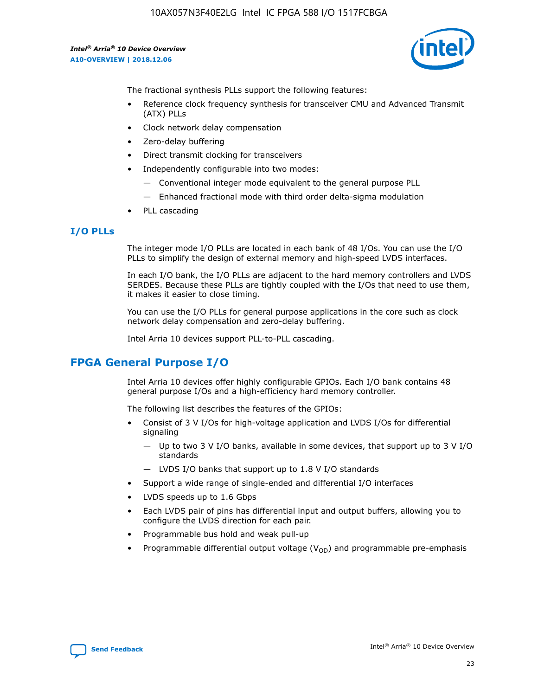

The fractional synthesis PLLs support the following features:

- Reference clock frequency synthesis for transceiver CMU and Advanced Transmit (ATX) PLLs
- Clock network delay compensation
- Zero-delay buffering
- Direct transmit clocking for transceivers
- Independently configurable into two modes:
	- Conventional integer mode equivalent to the general purpose PLL
	- Enhanced fractional mode with third order delta-sigma modulation
- PLL cascading

## **I/O PLLs**

The integer mode I/O PLLs are located in each bank of 48 I/Os. You can use the I/O PLLs to simplify the design of external memory and high-speed LVDS interfaces.

In each I/O bank, the I/O PLLs are adjacent to the hard memory controllers and LVDS SERDES. Because these PLLs are tightly coupled with the I/Os that need to use them, it makes it easier to close timing.

You can use the I/O PLLs for general purpose applications in the core such as clock network delay compensation and zero-delay buffering.

Intel Arria 10 devices support PLL-to-PLL cascading.

# **FPGA General Purpose I/O**

Intel Arria 10 devices offer highly configurable GPIOs. Each I/O bank contains 48 general purpose I/Os and a high-efficiency hard memory controller.

The following list describes the features of the GPIOs:

- Consist of 3 V I/Os for high-voltage application and LVDS I/Os for differential signaling
	- Up to two 3 V I/O banks, available in some devices, that support up to 3 V I/O standards
	- LVDS I/O banks that support up to 1.8 V I/O standards
- Support a wide range of single-ended and differential I/O interfaces
- LVDS speeds up to 1.6 Gbps
- Each LVDS pair of pins has differential input and output buffers, allowing you to configure the LVDS direction for each pair.
- Programmable bus hold and weak pull-up
- Programmable differential output voltage  $(V_{OD})$  and programmable pre-emphasis

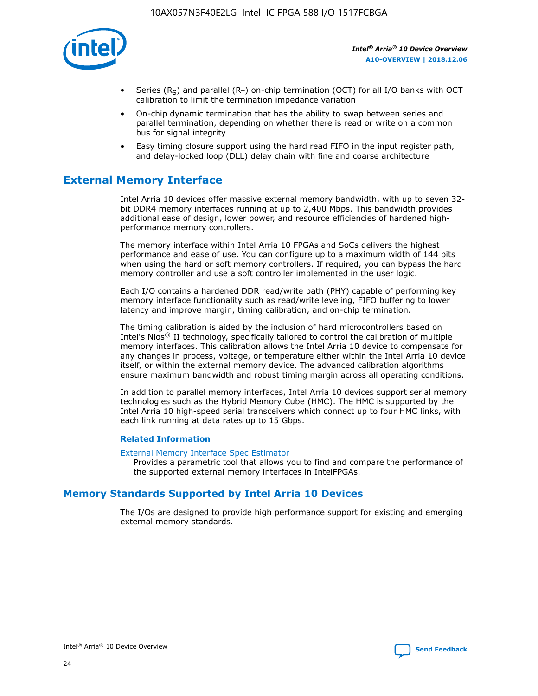

- Series (R<sub>S</sub>) and parallel (R<sub>T</sub>) on-chip termination (OCT) for all I/O banks with OCT calibration to limit the termination impedance variation
- On-chip dynamic termination that has the ability to swap between series and parallel termination, depending on whether there is read or write on a common bus for signal integrity
- Easy timing closure support using the hard read FIFO in the input register path, and delay-locked loop (DLL) delay chain with fine and coarse architecture

# **External Memory Interface**

Intel Arria 10 devices offer massive external memory bandwidth, with up to seven 32 bit DDR4 memory interfaces running at up to 2,400 Mbps. This bandwidth provides additional ease of design, lower power, and resource efficiencies of hardened highperformance memory controllers.

The memory interface within Intel Arria 10 FPGAs and SoCs delivers the highest performance and ease of use. You can configure up to a maximum width of 144 bits when using the hard or soft memory controllers. If required, you can bypass the hard memory controller and use a soft controller implemented in the user logic.

Each I/O contains a hardened DDR read/write path (PHY) capable of performing key memory interface functionality such as read/write leveling, FIFO buffering to lower latency and improve margin, timing calibration, and on-chip termination.

The timing calibration is aided by the inclusion of hard microcontrollers based on Intel's Nios® II technology, specifically tailored to control the calibration of multiple memory interfaces. This calibration allows the Intel Arria 10 device to compensate for any changes in process, voltage, or temperature either within the Intel Arria 10 device itself, or within the external memory device. The advanced calibration algorithms ensure maximum bandwidth and robust timing margin across all operating conditions.

In addition to parallel memory interfaces, Intel Arria 10 devices support serial memory technologies such as the Hybrid Memory Cube (HMC). The HMC is supported by the Intel Arria 10 high-speed serial transceivers which connect up to four HMC links, with each link running at data rates up to 15 Gbps.

#### **Related Information**

#### [External Memory Interface Spec Estimator](http://www.altera.com/technology/memory/estimator/mem-emif-index.html)

Provides a parametric tool that allows you to find and compare the performance of the supported external memory interfaces in IntelFPGAs.

## **Memory Standards Supported by Intel Arria 10 Devices**

The I/Os are designed to provide high performance support for existing and emerging external memory standards.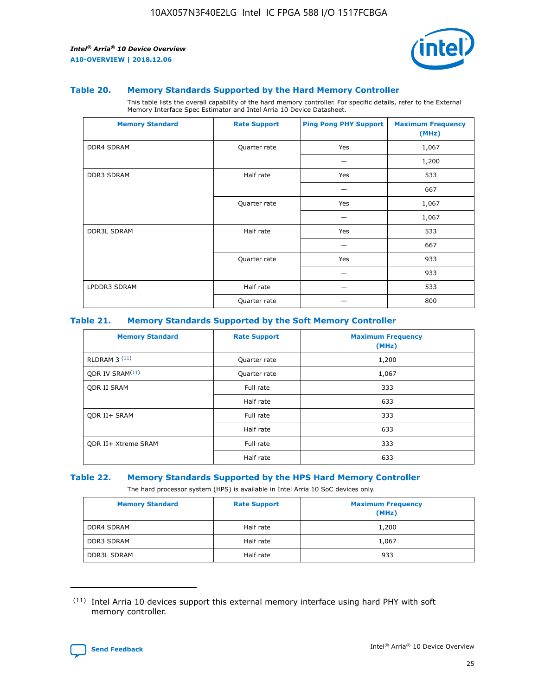

#### **Table 20. Memory Standards Supported by the Hard Memory Controller**

This table lists the overall capability of the hard memory controller. For specific details, refer to the External Memory Interface Spec Estimator and Intel Arria 10 Device Datasheet.

| <b>Memory Standard</b> | <b>Rate Support</b> | <b>Ping Pong PHY Support</b> | <b>Maximum Frequency</b><br>(MHz) |
|------------------------|---------------------|------------------------------|-----------------------------------|
| <b>DDR4 SDRAM</b>      | Quarter rate        | Yes                          | 1,067                             |
|                        |                     |                              | 1,200                             |
| DDR3 SDRAM             | Half rate           | Yes                          | 533                               |
|                        |                     |                              | 667                               |
|                        | Quarter rate        | Yes                          | 1,067                             |
|                        |                     |                              | 1,067                             |
| <b>DDR3L SDRAM</b>     | Half rate           | Yes                          | 533                               |
|                        |                     |                              | 667                               |
|                        | Quarter rate        | Yes                          | 933                               |
|                        |                     |                              | 933                               |
| LPDDR3 SDRAM           | Half rate           |                              | 533                               |
|                        | Quarter rate        |                              | 800                               |

#### **Table 21. Memory Standards Supported by the Soft Memory Controller**

| <b>Memory Standard</b>      | <b>Rate Support</b> | <b>Maximum Frequency</b><br>(MHz) |
|-----------------------------|---------------------|-----------------------------------|
| <b>RLDRAM 3 (11)</b>        | Quarter rate        | 1,200                             |
| ODR IV SRAM <sup>(11)</sup> | Quarter rate        | 1,067                             |
| <b>ODR II SRAM</b>          | Full rate           | 333                               |
|                             | Half rate           | 633                               |
| <b>ODR II+ SRAM</b>         | Full rate           | 333                               |
|                             | Half rate           | 633                               |
| <b>ODR II+ Xtreme SRAM</b>  | Full rate           | 333                               |
|                             | Half rate           | 633                               |

#### **Table 22. Memory Standards Supported by the HPS Hard Memory Controller**

The hard processor system (HPS) is available in Intel Arria 10 SoC devices only.

| <b>Memory Standard</b> | <b>Rate Support</b> | <b>Maximum Frequency</b><br>(MHz) |
|------------------------|---------------------|-----------------------------------|
| <b>DDR4 SDRAM</b>      | Half rate           | 1,200                             |
| <b>DDR3 SDRAM</b>      | Half rate           | 1,067                             |
| <b>DDR3L SDRAM</b>     | Half rate           | 933                               |

<sup>(11)</sup> Intel Arria 10 devices support this external memory interface using hard PHY with soft memory controller.

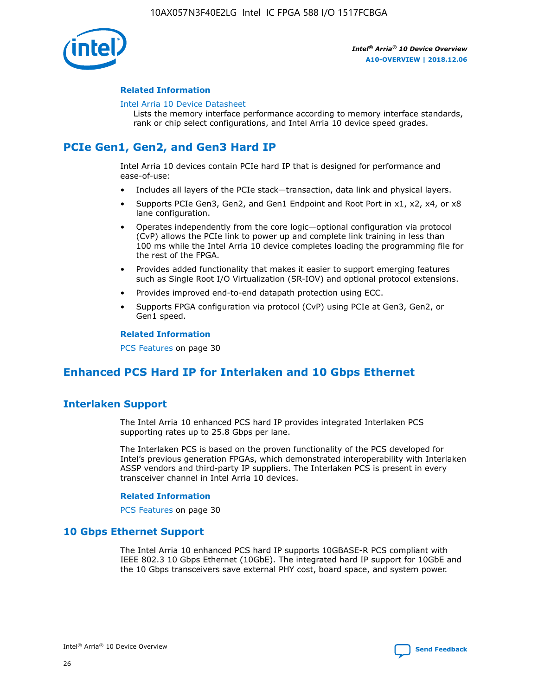

#### **Related Information**

#### [Intel Arria 10 Device Datasheet](https://www.intel.com/content/www/us/en/programmable/documentation/mcn1413182292568.html#mcn1413182153340)

Lists the memory interface performance according to memory interface standards, rank or chip select configurations, and Intel Arria 10 device speed grades.

# **PCIe Gen1, Gen2, and Gen3 Hard IP**

Intel Arria 10 devices contain PCIe hard IP that is designed for performance and ease-of-use:

- Includes all layers of the PCIe stack—transaction, data link and physical layers.
- Supports PCIe Gen3, Gen2, and Gen1 Endpoint and Root Port in x1, x2, x4, or x8 lane configuration.
- Operates independently from the core logic—optional configuration via protocol (CvP) allows the PCIe link to power up and complete link training in less than 100 ms while the Intel Arria 10 device completes loading the programming file for the rest of the FPGA.
- Provides added functionality that makes it easier to support emerging features such as Single Root I/O Virtualization (SR-IOV) and optional protocol extensions.
- Provides improved end-to-end datapath protection using ECC.
- Supports FPGA configuration via protocol (CvP) using PCIe at Gen3, Gen2, or Gen1 speed.

#### **Related Information**

PCS Features on page 30

# **Enhanced PCS Hard IP for Interlaken and 10 Gbps Ethernet**

## **Interlaken Support**

The Intel Arria 10 enhanced PCS hard IP provides integrated Interlaken PCS supporting rates up to 25.8 Gbps per lane.

The Interlaken PCS is based on the proven functionality of the PCS developed for Intel's previous generation FPGAs, which demonstrated interoperability with Interlaken ASSP vendors and third-party IP suppliers. The Interlaken PCS is present in every transceiver channel in Intel Arria 10 devices.

#### **Related Information**

PCS Features on page 30

## **10 Gbps Ethernet Support**

The Intel Arria 10 enhanced PCS hard IP supports 10GBASE-R PCS compliant with IEEE 802.3 10 Gbps Ethernet (10GbE). The integrated hard IP support for 10GbE and the 10 Gbps transceivers save external PHY cost, board space, and system power.

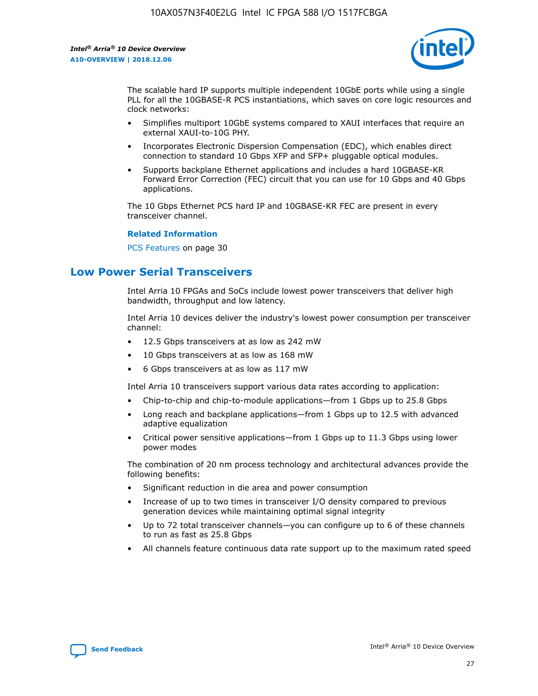

The scalable hard IP supports multiple independent 10GbE ports while using a single PLL for all the 10GBASE-R PCS instantiations, which saves on core logic resources and clock networks:

- Simplifies multiport 10GbE systems compared to XAUI interfaces that require an external XAUI-to-10G PHY.
- Incorporates Electronic Dispersion Compensation (EDC), which enables direct connection to standard 10 Gbps XFP and SFP+ pluggable optical modules.
- Supports backplane Ethernet applications and includes a hard 10GBASE-KR Forward Error Correction (FEC) circuit that you can use for 10 Gbps and 40 Gbps applications.

The 10 Gbps Ethernet PCS hard IP and 10GBASE-KR FEC are present in every transceiver channel.

#### **Related Information**

PCS Features on page 30

# **Low Power Serial Transceivers**

Intel Arria 10 FPGAs and SoCs include lowest power transceivers that deliver high bandwidth, throughput and low latency.

Intel Arria 10 devices deliver the industry's lowest power consumption per transceiver channel:

- 12.5 Gbps transceivers at as low as 242 mW
- 10 Gbps transceivers at as low as 168 mW
- 6 Gbps transceivers at as low as 117 mW

Intel Arria 10 transceivers support various data rates according to application:

- Chip-to-chip and chip-to-module applications—from 1 Gbps up to 25.8 Gbps
- Long reach and backplane applications—from 1 Gbps up to 12.5 with advanced adaptive equalization
- Critical power sensitive applications—from 1 Gbps up to 11.3 Gbps using lower power modes

The combination of 20 nm process technology and architectural advances provide the following benefits:

- Significant reduction in die area and power consumption
- Increase of up to two times in transceiver I/O density compared to previous generation devices while maintaining optimal signal integrity
- Up to 72 total transceiver channels—you can configure up to 6 of these channels to run as fast as 25.8 Gbps
- All channels feature continuous data rate support up to the maximum rated speed

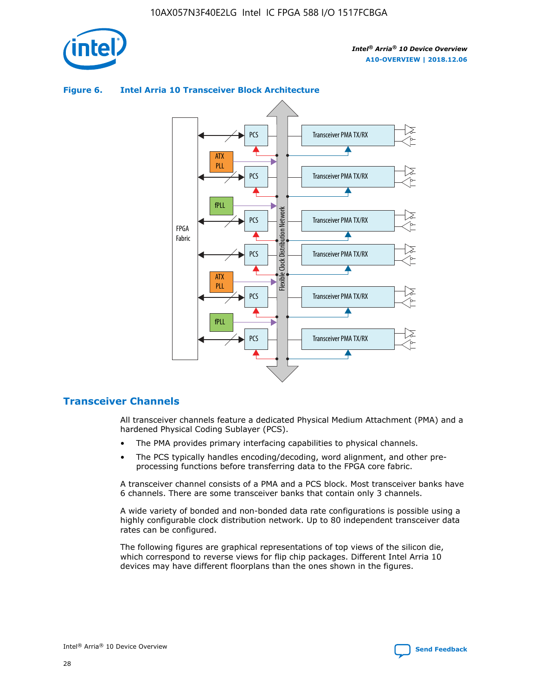

## Transceiver PMA TX/RX PCS ATX PLL Transceiver PMA TX/RX PCS fPLL Network Flexible Clock Distribution Network PCS Transceiver PMA TX/RX FPGA **Clock Distribution** Fabric PCS Transceiver PMA TX/RX ATX Flexible PLL PCS Transceiver PMA TX/RX ▲ fPLL Transceiver PMA TX/RX PCS 4

## **Figure 6. Intel Arria 10 Transceiver Block Architecture**

## **Transceiver Channels**

All transceiver channels feature a dedicated Physical Medium Attachment (PMA) and a hardened Physical Coding Sublayer (PCS).

- The PMA provides primary interfacing capabilities to physical channels.
- The PCS typically handles encoding/decoding, word alignment, and other preprocessing functions before transferring data to the FPGA core fabric.

A transceiver channel consists of a PMA and a PCS block. Most transceiver banks have 6 channels. There are some transceiver banks that contain only 3 channels.

A wide variety of bonded and non-bonded data rate configurations is possible using a highly configurable clock distribution network. Up to 80 independent transceiver data rates can be configured.

The following figures are graphical representations of top views of the silicon die, which correspond to reverse views for flip chip packages. Different Intel Arria 10 devices may have different floorplans than the ones shown in the figures.

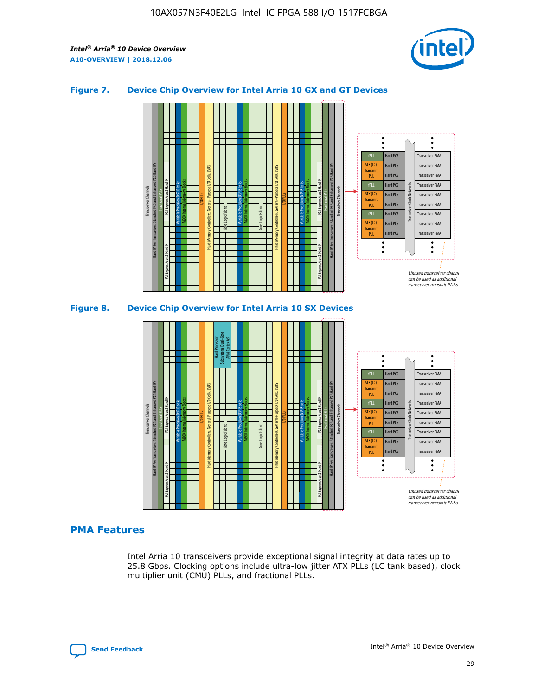

## **Figure 7. Device Chip Overview for Intel Arria 10 GX and GT Devices**





## **PMA Features**

Intel Arria 10 transceivers provide exceptional signal integrity at data rates up to 25.8 Gbps. Clocking options include ultra-low jitter ATX PLLs (LC tank based), clock multiplier unit (CMU) PLLs, and fractional PLLs.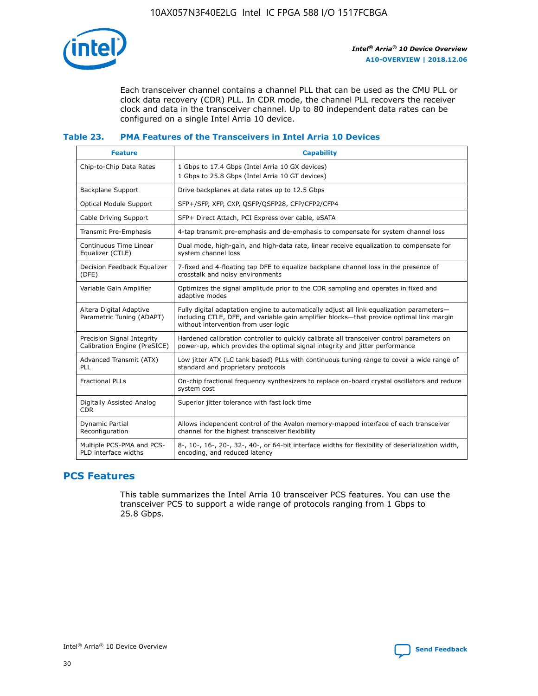

Each transceiver channel contains a channel PLL that can be used as the CMU PLL or clock data recovery (CDR) PLL. In CDR mode, the channel PLL recovers the receiver clock and data in the transceiver channel. Up to 80 independent data rates can be configured on a single Intel Arria 10 device.

## **Table 23. PMA Features of the Transceivers in Intel Arria 10 Devices**

| <b>Feature</b>                                             | <b>Capability</b>                                                                                                                                                                                                             |
|------------------------------------------------------------|-------------------------------------------------------------------------------------------------------------------------------------------------------------------------------------------------------------------------------|
| Chip-to-Chip Data Rates                                    | 1 Gbps to 17.4 Gbps (Intel Arria 10 GX devices)<br>1 Gbps to 25.8 Gbps (Intel Arria 10 GT devices)                                                                                                                            |
| <b>Backplane Support</b>                                   | Drive backplanes at data rates up to 12.5 Gbps                                                                                                                                                                                |
| <b>Optical Module Support</b>                              | SFP+/SFP, XFP, CXP, QSFP/QSFP28, CFP/CFP2/CFP4                                                                                                                                                                                |
| Cable Driving Support                                      | SFP+ Direct Attach, PCI Express over cable, eSATA                                                                                                                                                                             |
| Transmit Pre-Emphasis                                      | 4-tap transmit pre-emphasis and de-emphasis to compensate for system channel loss                                                                                                                                             |
| Continuous Time Linear<br>Equalizer (CTLE)                 | Dual mode, high-gain, and high-data rate, linear receive equalization to compensate for<br>system channel loss                                                                                                                |
| Decision Feedback Equalizer<br>(DFE)                       | 7-fixed and 4-floating tap DFE to equalize backplane channel loss in the presence of<br>crosstalk and noisy environments                                                                                                      |
| Variable Gain Amplifier                                    | Optimizes the signal amplitude prior to the CDR sampling and operates in fixed and<br>adaptive modes                                                                                                                          |
| Altera Digital Adaptive<br>Parametric Tuning (ADAPT)       | Fully digital adaptation engine to automatically adjust all link equalization parameters-<br>including CTLE, DFE, and variable gain amplifier blocks—that provide optimal link margin<br>without intervention from user logic |
| Precision Signal Integrity<br>Calibration Engine (PreSICE) | Hardened calibration controller to quickly calibrate all transceiver control parameters on<br>power-up, which provides the optimal signal integrity and jitter performance                                                    |
| Advanced Transmit (ATX)<br>PLL                             | Low jitter ATX (LC tank based) PLLs with continuous tuning range to cover a wide range of<br>standard and proprietary protocols                                                                                               |
| <b>Fractional PLLs</b>                                     | On-chip fractional frequency synthesizers to replace on-board crystal oscillators and reduce<br>system cost                                                                                                                   |
| Digitally Assisted Analog<br><b>CDR</b>                    | Superior jitter tolerance with fast lock time                                                                                                                                                                                 |
| Dynamic Partial<br>Reconfiguration                         | Allows independent control of the Avalon memory-mapped interface of each transceiver<br>channel for the highest transceiver flexibility                                                                                       |
| Multiple PCS-PMA and PCS-<br>PLD interface widths          | 8-, 10-, 16-, 20-, 32-, 40-, or 64-bit interface widths for flexibility of deserialization width,<br>encoding, and reduced latency                                                                                            |

## **PCS Features**

This table summarizes the Intel Arria 10 transceiver PCS features. You can use the transceiver PCS to support a wide range of protocols ranging from 1 Gbps to 25.8 Gbps.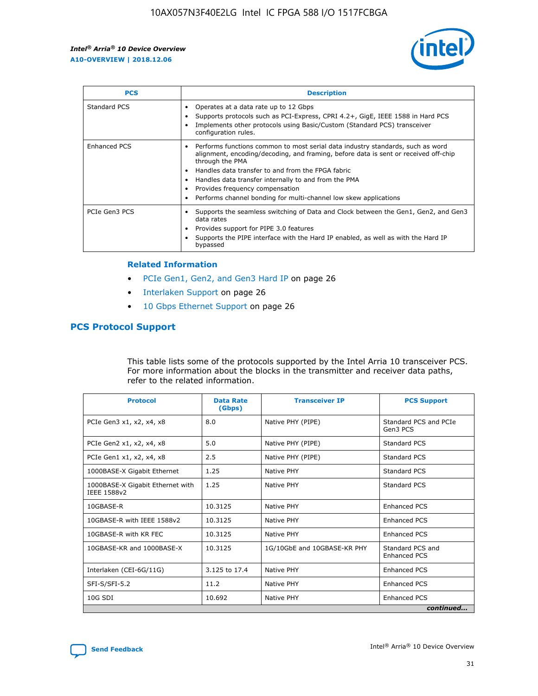

| <b>PCS</b>    | <b>Description</b>                                                                                                                                                                                                                                                                                                                                                                                             |
|---------------|----------------------------------------------------------------------------------------------------------------------------------------------------------------------------------------------------------------------------------------------------------------------------------------------------------------------------------------------------------------------------------------------------------------|
| Standard PCS  | Operates at a data rate up to 12 Gbps<br>Supports protocols such as PCI-Express, CPRI 4.2+, GigE, IEEE 1588 in Hard PCS<br>Implements other protocols using Basic/Custom (Standard PCS) transceiver<br>configuration rules.                                                                                                                                                                                    |
| Enhanced PCS  | Performs functions common to most serial data industry standards, such as word<br>alignment, encoding/decoding, and framing, before data is sent or received off-chip<br>through the PMA<br>• Handles data transfer to and from the FPGA fabric<br>Handles data transfer internally to and from the PMA<br>Provides frequency compensation<br>Performs channel bonding for multi-channel low skew applications |
| PCIe Gen3 PCS | Supports the seamless switching of Data and Clock between the Gen1, Gen2, and Gen3<br>data rates<br>Provides support for PIPE 3.0 features<br>Supports the PIPE interface with the Hard IP enabled, as well as with the Hard IP<br>bypassed                                                                                                                                                                    |

#### **Related Information**

- PCIe Gen1, Gen2, and Gen3 Hard IP on page 26
- Interlaken Support on page 26
- 10 Gbps Ethernet Support on page 26

## **PCS Protocol Support**

This table lists some of the protocols supported by the Intel Arria 10 transceiver PCS. For more information about the blocks in the transmitter and receiver data paths, refer to the related information.

| <b>Protocol</b>                                 | <b>Data Rate</b><br>(Gbps) | <b>Transceiver IP</b>       | <b>PCS Support</b>                      |
|-------------------------------------------------|----------------------------|-----------------------------|-----------------------------------------|
| PCIe Gen3 x1, x2, x4, x8                        | 8.0                        | Native PHY (PIPE)           | Standard PCS and PCIe<br>Gen3 PCS       |
| PCIe Gen2 x1, x2, x4, x8                        | 5.0                        | Native PHY (PIPE)           | <b>Standard PCS</b>                     |
| PCIe Gen1 x1, x2, x4, x8                        | 2.5                        | Native PHY (PIPE)           | Standard PCS                            |
| 1000BASE-X Gigabit Ethernet                     | 1.25                       | Native PHY                  | <b>Standard PCS</b>                     |
| 1000BASE-X Gigabit Ethernet with<br>IEEE 1588v2 | 1.25                       | Native PHY                  | Standard PCS                            |
| 10GBASE-R                                       | 10.3125                    | Native PHY                  | <b>Enhanced PCS</b>                     |
| 10GBASE-R with IEEE 1588v2                      | 10.3125                    | Native PHY                  | <b>Enhanced PCS</b>                     |
| 10GBASE-R with KR FEC                           | 10.3125                    | Native PHY                  | <b>Enhanced PCS</b>                     |
| 10GBASE-KR and 1000BASE-X                       | 10.3125                    | 1G/10GbE and 10GBASE-KR PHY | Standard PCS and<br><b>Enhanced PCS</b> |
| Interlaken (CEI-6G/11G)                         | 3.125 to 17.4              | Native PHY                  | <b>Enhanced PCS</b>                     |
| SFI-S/SFI-5.2                                   | 11.2                       | Native PHY                  | <b>Enhanced PCS</b>                     |
| $10G$ SDI                                       | 10.692                     | Native PHY                  | <b>Enhanced PCS</b>                     |
|                                                 |                            |                             | continued                               |

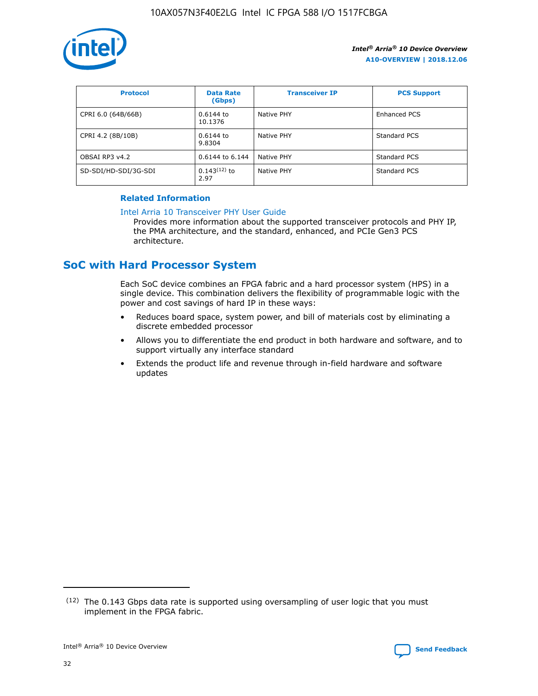

| <b>Protocol</b>      | <b>Data Rate</b><br>(Gbps) | <b>Transceiver IP</b> | <b>PCS Support</b> |
|----------------------|----------------------------|-----------------------|--------------------|
| CPRI 6.0 (64B/66B)   | 0.6144 to<br>10.1376       | Native PHY            | Enhanced PCS       |
| CPRI 4.2 (8B/10B)    | 0.6144 to<br>9.8304        | Native PHY            | Standard PCS       |
| OBSAI RP3 v4.2       | 0.6144 to 6.144            | Native PHY            | Standard PCS       |
| SD-SDI/HD-SDI/3G-SDI | $0.143(12)$ to<br>2.97     | Native PHY            | Standard PCS       |

## **Related Information**

#### [Intel Arria 10 Transceiver PHY User Guide](https://www.intel.com/content/www/us/en/programmable/documentation/nik1398707230472.html#nik1398707091164)

Provides more information about the supported transceiver protocols and PHY IP, the PMA architecture, and the standard, enhanced, and PCIe Gen3 PCS architecture.

# **SoC with Hard Processor System**

Each SoC device combines an FPGA fabric and a hard processor system (HPS) in a single device. This combination delivers the flexibility of programmable logic with the power and cost savings of hard IP in these ways:

- Reduces board space, system power, and bill of materials cost by eliminating a discrete embedded processor
- Allows you to differentiate the end product in both hardware and software, and to support virtually any interface standard
- Extends the product life and revenue through in-field hardware and software updates

 $(12)$  The 0.143 Gbps data rate is supported using oversampling of user logic that you must implement in the FPGA fabric.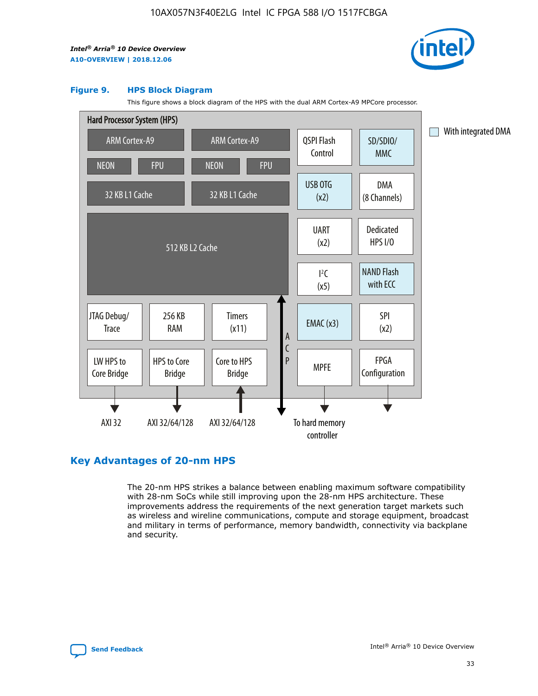

#### **Figure 9. HPS Block Diagram**

This figure shows a block diagram of the HPS with the dual ARM Cortex-A9 MPCore processor.



## **Key Advantages of 20-nm HPS**

The 20-nm HPS strikes a balance between enabling maximum software compatibility with 28-nm SoCs while still improving upon the 28-nm HPS architecture. These improvements address the requirements of the next generation target markets such as wireless and wireline communications, compute and storage equipment, broadcast and military in terms of performance, memory bandwidth, connectivity via backplane and security.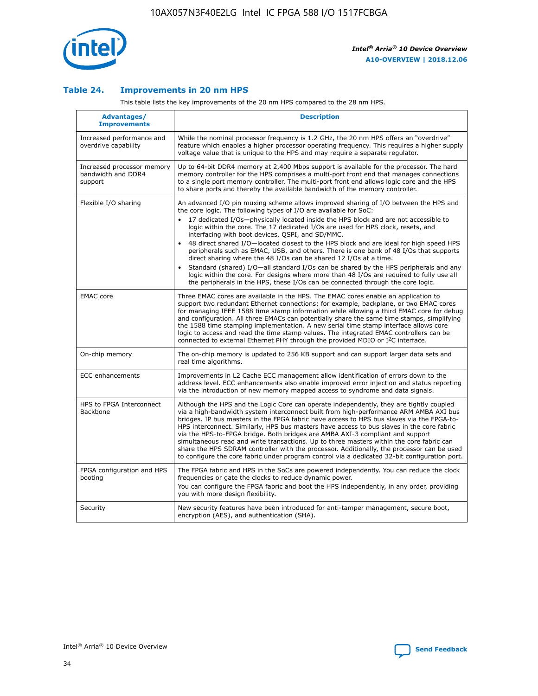

## **Table 24. Improvements in 20 nm HPS**

This table lists the key improvements of the 20 nm HPS compared to the 28 nm HPS.

| <b>Advantages/</b><br><b>Improvements</b>                   | <b>Description</b>                                                                                                                                                                                                                                                                                                                                                                                                                                                                                                                                                                                                                                                                                                                                                                                                                                                                                                      |
|-------------------------------------------------------------|-------------------------------------------------------------------------------------------------------------------------------------------------------------------------------------------------------------------------------------------------------------------------------------------------------------------------------------------------------------------------------------------------------------------------------------------------------------------------------------------------------------------------------------------------------------------------------------------------------------------------------------------------------------------------------------------------------------------------------------------------------------------------------------------------------------------------------------------------------------------------------------------------------------------------|
| Increased performance and<br>overdrive capability           | While the nominal processor frequency is 1.2 GHz, the 20 nm HPS offers an "overdrive"<br>feature which enables a higher processor operating frequency. This requires a higher supply<br>voltage value that is unique to the HPS and may require a separate regulator.                                                                                                                                                                                                                                                                                                                                                                                                                                                                                                                                                                                                                                                   |
| Increased processor memory<br>bandwidth and DDR4<br>support | Up to 64-bit DDR4 memory at 2,400 Mbps support is available for the processor. The hard<br>memory controller for the HPS comprises a multi-port front end that manages connections<br>to a single port memory controller. The multi-port front end allows logic core and the HPS<br>to share ports and thereby the available bandwidth of the memory controller.                                                                                                                                                                                                                                                                                                                                                                                                                                                                                                                                                        |
| Flexible I/O sharing                                        | An advanced I/O pin muxing scheme allows improved sharing of I/O between the HPS and<br>the core logic. The following types of I/O are available for SoC:<br>17 dedicated I/Os-physically located inside the HPS block and are not accessible to<br>logic within the core. The 17 dedicated I/Os are used for HPS clock, resets, and<br>interfacing with boot devices, QSPI, and SD/MMC.<br>48 direct shared I/O-located closest to the HPS block and are ideal for high speed HPS<br>peripherals such as EMAC, USB, and others. There is one bank of 48 I/Os that supports<br>direct sharing where the 48 I/Os can be shared 12 I/Os at a time.<br>Standard (shared) I/O-all standard I/Os can be shared by the HPS peripherals and any<br>logic within the core. For designs where more than 48 I/Os are required to fully use all<br>the peripherals in the HPS, these I/Os can be connected through the core logic. |
| <b>EMAC</b> core                                            | Three EMAC cores are available in the HPS. The EMAC cores enable an application to<br>support two redundant Ethernet connections; for example, backplane, or two EMAC cores<br>for managing IEEE 1588 time stamp information while allowing a third EMAC core for debug<br>and configuration. All three EMACs can potentially share the same time stamps, simplifying<br>the 1588 time stamping implementation. A new serial time stamp interface allows core<br>logic to access and read the time stamp values. The integrated EMAC controllers can be<br>connected to external Ethernet PHY through the provided MDIO or I <sup>2</sup> C interface.                                                                                                                                                                                                                                                                  |
| On-chip memory                                              | The on-chip memory is updated to 256 KB support and can support larger data sets and<br>real time algorithms.                                                                                                                                                                                                                                                                                                                                                                                                                                                                                                                                                                                                                                                                                                                                                                                                           |
| <b>ECC</b> enhancements                                     | Improvements in L2 Cache ECC management allow identification of errors down to the<br>address level. ECC enhancements also enable improved error injection and status reporting<br>via the introduction of new memory mapped access to syndrome and data signals.                                                                                                                                                                                                                                                                                                                                                                                                                                                                                                                                                                                                                                                       |
| HPS to FPGA Interconnect<br>Backbone                        | Although the HPS and the Logic Core can operate independently, they are tightly coupled<br>via a high-bandwidth system interconnect built from high-performance ARM AMBA AXI bus<br>bridges. IP bus masters in the FPGA fabric have access to HPS bus slaves via the FPGA-to-<br>HPS interconnect. Similarly, HPS bus masters have access to bus slaves in the core fabric<br>via the HPS-to-FPGA bridge. Both bridges are AMBA AXI-3 compliant and support<br>simultaneous read and write transactions. Up to three masters within the core fabric can<br>share the HPS SDRAM controller with the processor. Additionally, the processor can be used<br>to configure the core fabric under program control via a dedicated 32-bit configuration port.                                                                                                                                                                  |
| FPGA configuration and HPS<br>booting                       | The FPGA fabric and HPS in the SoCs are powered independently. You can reduce the clock<br>frequencies or gate the clocks to reduce dynamic power.<br>You can configure the FPGA fabric and boot the HPS independently, in any order, providing<br>you with more design flexibility.                                                                                                                                                                                                                                                                                                                                                                                                                                                                                                                                                                                                                                    |
| Security                                                    | New security features have been introduced for anti-tamper management, secure boot,<br>encryption (AES), and authentication (SHA).                                                                                                                                                                                                                                                                                                                                                                                                                                                                                                                                                                                                                                                                                                                                                                                      |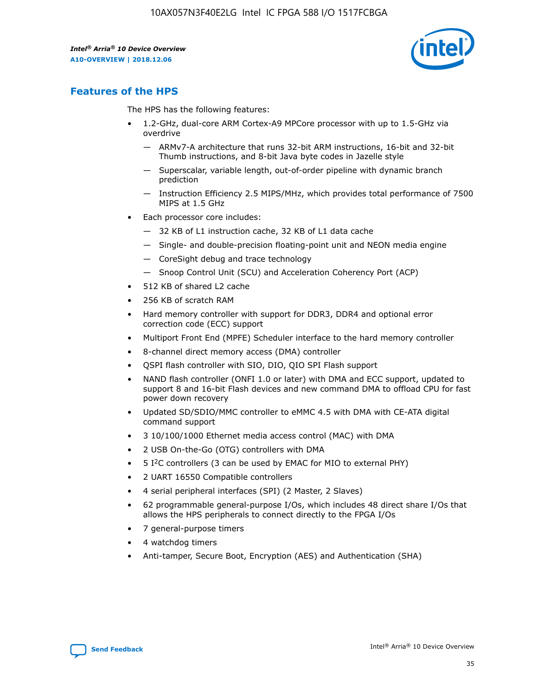

## **Features of the HPS**

The HPS has the following features:

- 1.2-GHz, dual-core ARM Cortex-A9 MPCore processor with up to 1.5-GHz via overdrive
	- ARMv7-A architecture that runs 32-bit ARM instructions, 16-bit and 32-bit Thumb instructions, and 8-bit Java byte codes in Jazelle style
	- Superscalar, variable length, out-of-order pipeline with dynamic branch prediction
	- Instruction Efficiency 2.5 MIPS/MHz, which provides total performance of 7500 MIPS at 1.5 GHz
- Each processor core includes:
	- 32 KB of L1 instruction cache, 32 KB of L1 data cache
	- Single- and double-precision floating-point unit and NEON media engine
	- CoreSight debug and trace technology
	- Snoop Control Unit (SCU) and Acceleration Coherency Port (ACP)
- 512 KB of shared L2 cache
- 256 KB of scratch RAM
- Hard memory controller with support for DDR3, DDR4 and optional error correction code (ECC) support
- Multiport Front End (MPFE) Scheduler interface to the hard memory controller
- 8-channel direct memory access (DMA) controller
- QSPI flash controller with SIO, DIO, QIO SPI Flash support
- NAND flash controller (ONFI 1.0 or later) with DMA and ECC support, updated to support 8 and 16-bit Flash devices and new command DMA to offload CPU for fast power down recovery
- Updated SD/SDIO/MMC controller to eMMC 4.5 with DMA with CE-ATA digital command support
- 3 10/100/1000 Ethernet media access control (MAC) with DMA
- 2 USB On-the-Go (OTG) controllers with DMA
- $\bullet$  5 I<sup>2</sup>C controllers (3 can be used by EMAC for MIO to external PHY)
- 2 UART 16550 Compatible controllers
- 4 serial peripheral interfaces (SPI) (2 Master, 2 Slaves)
- 62 programmable general-purpose I/Os, which includes 48 direct share I/Os that allows the HPS peripherals to connect directly to the FPGA I/Os
- 7 general-purpose timers
- 4 watchdog timers
- Anti-tamper, Secure Boot, Encryption (AES) and Authentication (SHA)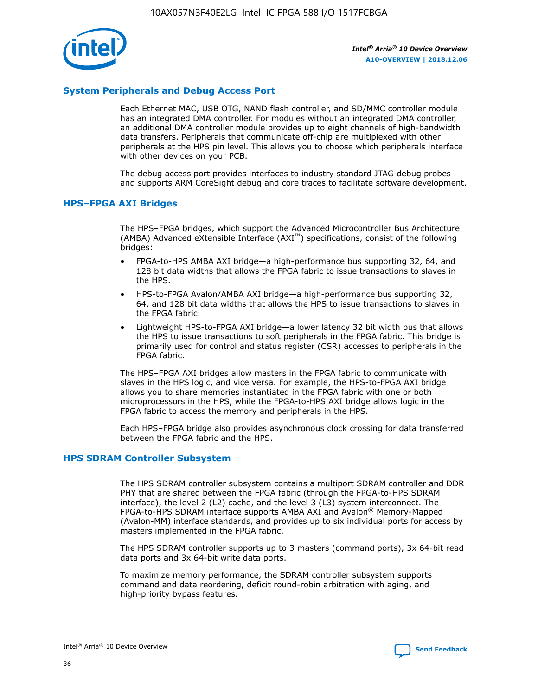

## **System Peripherals and Debug Access Port**

Each Ethernet MAC, USB OTG, NAND flash controller, and SD/MMC controller module has an integrated DMA controller. For modules without an integrated DMA controller, an additional DMA controller module provides up to eight channels of high-bandwidth data transfers. Peripherals that communicate off-chip are multiplexed with other peripherals at the HPS pin level. This allows you to choose which peripherals interface with other devices on your PCB.

The debug access port provides interfaces to industry standard JTAG debug probes and supports ARM CoreSight debug and core traces to facilitate software development.

## **HPS–FPGA AXI Bridges**

The HPS–FPGA bridges, which support the Advanced Microcontroller Bus Architecture (AMBA) Advanced eXtensible Interface (AXI™) specifications, consist of the following bridges:

- FPGA-to-HPS AMBA AXI bridge—a high-performance bus supporting 32, 64, and 128 bit data widths that allows the FPGA fabric to issue transactions to slaves in the HPS.
- HPS-to-FPGA Avalon/AMBA AXI bridge—a high-performance bus supporting 32, 64, and 128 bit data widths that allows the HPS to issue transactions to slaves in the FPGA fabric.
- Lightweight HPS-to-FPGA AXI bridge—a lower latency 32 bit width bus that allows the HPS to issue transactions to soft peripherals in the FPGA fabric. This bridge is primarily used for control and status register (CSR) accesses to peripherals in the FPGA fabric.

The HPS–FPGA AXI bridges allow masters in the FPGA fabric to communicate with slaves in the HPS logic, and vice versa. For example, the HPS-to-FPGA AXI bridge allows you to share memories instantiated in the FPGA fabric with one or both microprocessors in the HPS, while the FPGA-to-HPS AXI bridge allows logic in the FPGA fabric to access the memory and peripherals in the HPS.

Each HPS–FPGA bridge also provides asynchronous clock crossing for data transferred between the FPGA fabric and the HPS.

#### **HPS SDRAM Controller Subsystem**

The HPS SDRAM controller subsystem contains a multiport SDRAM controller and DDR PHY that are shared between the FPGA fabric (through the FPGA-to-HPS SDRAM interface), the level 2 (L2) cache, and the level 3 (L3) system interconnect. The FPGA-to-HPS SDRAM interface supports AMBA AXI and Avalon® Memory-Mapped (Avalon-MM) interface standards, and provides up to six individual ports for access by masters implemented in the FPGA fabric.

The HPS SDRAM controller supports up to 3 masters (command ports), 3x 64-bit read data ports and 3x 64-bit write data ports.

To maximize memory performance, the SDRAM controller subsystem supports command and data reordering, deficit round-robin arbitration with aging, and high-priority bypass features.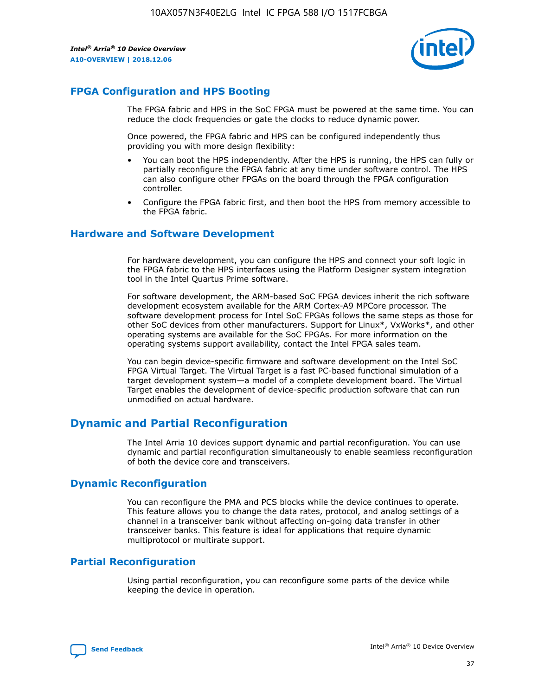

## **FPGA Configuration and HPS Booting**

The FPGA fabric and HPS in the SoC FPGA must be powered at the same time. You can reduce the clock frequencies or gate the clocks to reduce dynamic power.

Once powered, the FPGA fabric and HPS can be configured independently thus providing you with more design flexibility:

- You can boot the HPS independently. After the HPS is running, the HPS can fully or partially reconfigure the FPGA fabric at any time under software control. The HPS can also configure other FPGAs on the board through the FPGA configuration controller.
- Configure the FPGA fabric first, and then boot the HPS from memory accessible to the FPGA fabric.

## **Hardware and Software Development**

For hardware development, you can configure the HPS and connect your soft logic in the FPGA fabric to the HPS interfaces using the Platform Designer system integration tool in the Intel Quartus Prime software.

For software development, the ARM-based SoC FPGA devices inherit the rich software development ecosystem available for the ARM Cortex-A9 MPCore processor. The software development process for Intel SoC FPGAs follows the same steps as those for other SoC devices from other manufacturers. Support for Linux\*, VxWorks\*, and other operating systems are available for the SoC FPGAs. For more information on the operating systems support availability, contact the Intel FPGA sales team.

You can begin device-specific firmware and software development on the Intel SoC FPGA Virtual Target. The Virtual Target is a fast PC-based functional simulation of a target development system—a model of a complete development board. The Virtual Target enables the development of device-specific production software that can run unmodified on actual hardware.

## **Dynamic and Partial Reconfiguration**

The Intel Arria 10 devices support dynamic and partial reconfiguration. You can use dynamic and partial reconfiguration simultaneously to enable seamless reconfiguration of both the device core and transceivers.

## **Dynamic Reconfiguration**

You can reconfigure the PMA and PCS blocks while the device continues to operate. This feature allows you to change the data rates, protocol, and analog settings of a channel in a transceiver bank without affecting on-going data transfer in other transceiver banks. This feature is ideal for applications that require dynamic multiprotocol or multirate support.

## **Partial Reconfiguration**

Using partial reconfiguration, you can reconfigure some parts of the device while keeping the device in operation.

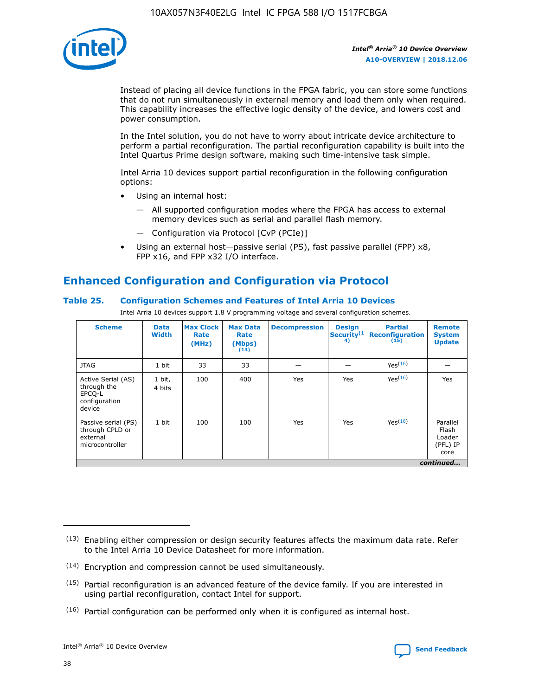

Instead of placing all device functions in the FPGA fabric, you can store some functions that do not run simultaneously in external memory and load them only when required. This capability increases the effective logic density of the device, and lowers cost and power consumption.

In the Intel solution, you do not have to worry about intricate device architecture to perform a partial reconfiguration. The partial reconfiguration capability is built into the Intel Quartus Prime design software, making such time-intensive task simple.

Intel Arria 10 devices support partial reconfiguration in the following configuration options:

- Using an internal host:
	- All supported configuration modes where the FPGA has access to external memory devices such as serial and parallel flash memory.
	- Configuration via Protocol [CvP (PCIe)]
- Using an external host—passive serial (PS), fast passive parallel (FPP) x8, FPP x16, and FPP x32 I/O interface.

# **Enhanced Configuration and Configuration via Protocol**

## **Table 25. Configuration Schemes and Features of Intel Arria 10 Devices**

Intel Arria 10 devices support 1.8 V programming voltage and several configuration schemes.

| <b>Scheme</b>                                                          | <b>Data</b><br><b>Width</b> | <b>Max Clock</b><br>Rate<br>(MHz) | <b>Max Data</b><br>Rate<br>(Mbps)<br>(13) | <b>Decompression</b> | <b>Design</b><br>Security <sup>(1</sup><br>4) | <b>Partial</b><br><b>Reconfiguration</b><br>(15) | <b>Remote</b><br><b>System</b><br><b>Update</b> |
|------------------------------------------------------------------------|-----------------------------|-----------------------------------|-------------------------------------------|----------------------|-----------------------------------------------|--------------------------------------------------|-------------------------------------------------|
| <b>JTAG</b>                                                            | 1 bit                       | 33                                | 33                                        |                      |                                               | Yes(16)                                          |                                                 |
| Active Serial (AS)<br>through the<br>EPCO-L<br>configuration<br>device | 1 bit,<br>4 bits            | 100                               | 400                                       | Yes                  | Yes                                           | $Y_{PS}(16)$                                     | Yes                                             |
| Passive serial (PS)<br>through CPLD or<br>external<br>microcontroller  | 1 bit                       | 100                               | 100                                       | Yes                  | Yes                                           | Yes(16)                                          | Parallel<br>Flash<br>Loader<br>(PFL) IP<br>core |
|                                                                        |                             |                                   |                                           |                      |                                               |                                                  | continued                                       |

<sup>(13)</sup> Enabling either compression or design security features affects the maximum data rate. Refer to the Intel Arria 10 Device Datasheet for more information.

<sup>(14)</sup> Encryption and compression cannot be used simultaneously.

 $(15)$  Partial reconfiguration is an advanced feature of the device family. If you are interested in using partial reconfiguration, contact Intel for support.

 $(16)$  Partial configuration can be performed only when it is configured as internal host.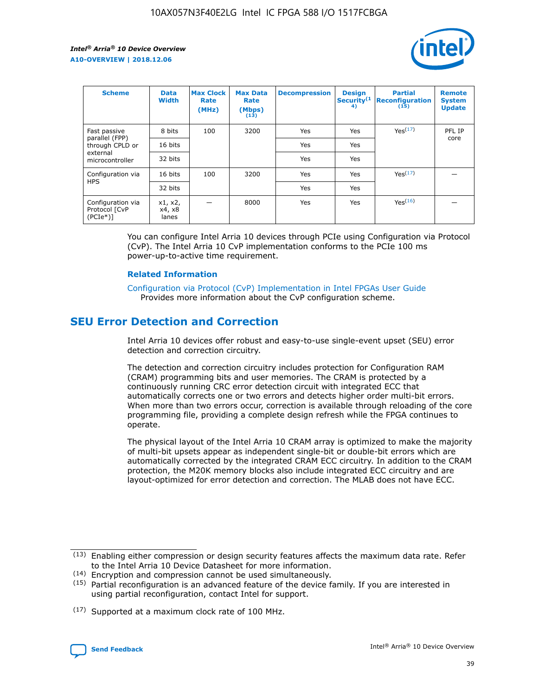

| <b>Scheme</b>                                    | <b>Data</b><br><b>Width</b> | <b>Max Clock</b><br>Rate<br>(MHz) | <b>Max Data</b><br>Rate<br>(Mbps)<br>(13) | <b>Decompression</b> | <b>Design</b><br>Security <sup>(1</sup><br>4) | <b>Partial</b><br><b>Reconfiguration</b><br>(15) | <b>Remote</b><br><b>System</b><br><b>Update</b> |
|--------------------------------------------------|-----------------------------|-----------------------------------|-------------------------------------------|----------------------|-----------------------------------------------|--------------------------------------------------|-------------------------------------------------|
| Fast passive                                     | 8 bits                      | 100                               | 3200                                      | Yes                  | Yes                                           | Yes(17)                                          | PFL IP                                          |
| parallel (FPP)<br>through CPLD or                | 16 bits                     |                                   |                                           | Yes                  | Yes                                           |                                                  | core                                            |
| external<br>microcontroller                      | 32 bits                     |                                   |                                           | Yes                  | Yes                                           |                                                  |                                                 |
| Configuration via                                | 16 bits                     | 100                               | 3200                                      | Yes                  | Yes                                           | Yes <sup>(17)</sup>                              |                                                 |
| <b>HPS</b>                                       | 32 bits                     |                                   |                                           | Yes                  | Yes                                           |                                                  |                                                 |
| Configuration via<br>Protocol [CvP<br>$(PCIe^*)$ | x1, x2,<br>x4, x8<br>lanes  |                                   | 8000                                      | Yes                  | Yes                                           | Yes(16)                                          |                                                 |

You can configure Intel Arria 10 devices through PCIe using Configuration via Protocol (CvP). The Intel Arria 10 CvP implementation conforms to the PCIe 100 ms power-up-to-active time requirement.

#### **Related Information**

[Configuration via Protocol \(CvP\) Implementation in Intel FPGAs User Guide](https://www.intel.com/content/www/us/en/programmable/documentation/dsu1441819344145.html#dsu1442269728522) Provides more information about the CvP configuration scheme.

# **SEU Error Detection and Correction**

Intel Arria 10 devices offer robust and easy-to-use single-event upset (SEU) error detection and correction circuitry.

The detection and correction circuitry includes protection for Configuration RAM (CRAM) programming bits and user memories. The CRAM is protected by a continuously running CRC error detection circuit with integrated ECC that automatically corrects one or two errors and detects higher order multi-bit errors. When more than two errors occur, correction is available through reloading of the core programming file, providing a complete design refresh while the FPGA continues to operate.

The physical layout of the Intel Arria 10 CRAM array is optimized to make the majority of multi-bit upsets appear as independent single-bit or double-bit errors which are automatically corrected by the integrated CRAM ECC circuitry. In addition to the CRAM protection, the M20K memory blocks also include integrated ECC circuitry and are layout-optimized for error detection and correction. The MLAB does not have ECC.

(14) Encryption and compression cannot be used simultaneously.

<sup>(17)</sup> Supported at a maximum clock rate of 100 MHz.



 $(13)$  Enabling either compression or design security features affects the maximum data rate. Refer to the Intel Arria 10 Device Datasheet for more information.

 $(15)$  Partial reconfiguration is an advanced feature of the device family. If you are interested in using partial reconfiguration, contact Intel for support.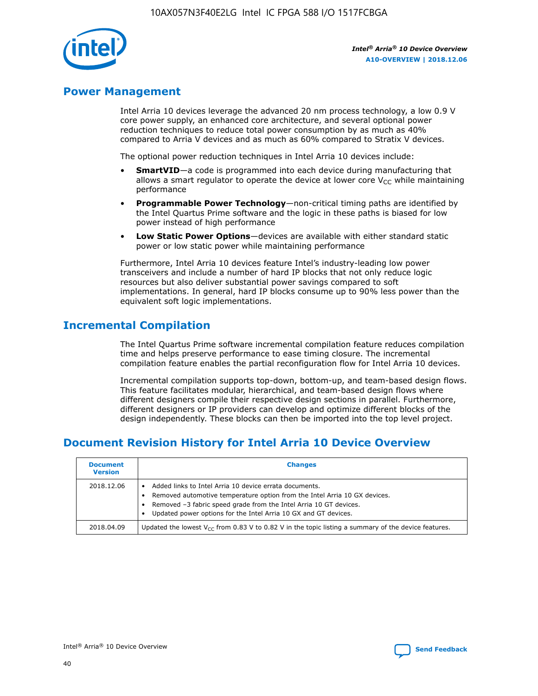

## **Power Management**

Intel Arria 10 devices leverage the advanced 20 nm process technology, a low 0.9 V core power supply, an enhanced core architecture, and several optional power reduction techniques to reduce total power consumption by as much as 40% compared to Arria V devices and as much as 60% compared to Stratix V devices.

The optional power reduction techniques in Intel Arria 10 devices include:

- **SmartVID**—a code is programmed into each device during manufacturing that allows a smart regulator to operate the device at lower core  $V_{CC}$  while maintaining performance
- **Programmable Power Technology**—non-critical timing paths are identified by the Intel Quartus Prime software and the logic in these paths is biased for low power instead of high performance
- **Low Static Power Options**—devices are available with either standard static power or low static power while maintaining performance

Furthermore, Intel Arria 10 devices feature Intel's industry-leading low power transceivers and include a number of hard IP blocks that not only reduce logic resources but also deliver substantial power savings compared to soft implementations. In general, hard IP blocks consume up to 90% less power than the equivalent soft logic implementations.

# **Incremental Compilation**

The Intel Quartus Prime software incremental compilation feature reduces compilation time and helps preserve performance to ease timing closure. The incremental compilation feature enables the partial reconfiguration flow for Intel Arria 10 devices.

Incremental compilation supports top-down, bottom-up, and team-based design flows. This feature facilitates modular, hierarchical, and team-based design flows where different designers compile their respective design sections in parallel. Furthermore, different designers or IP providers can develop and optimize different blocks of the design independently. These blocks can then be imported into the top level project.

# **Document Revision History for Intel Arria 10 Device Overview**

| <b>Document</b><br><b>Version</b> | <b>Changes</b>                                                                                                                                                                                                                                                              |
|-----------------------------------|-----------------------------------------------------------------------------------------------------------------------------------------------------------------------------------------------------------------------------------------------------------------------------|
| 2018.12.06                        | Added links to Intel Arria 10 device errata documents.<br>Removed automotive temperature option from the Intel Arria 10 GX devices.<br>Removed -3 fabric speed grade from the Intel Arria 10 GT devices.<br>Updated power options for the Intel Arria 10 GX and GT devices. |
| 2018.04.09                        | Updated the lowest $V_{CC}$ from 0.83 V to 0.82 V in the topic listing a summary of the device features.                                                                                                                                                                    |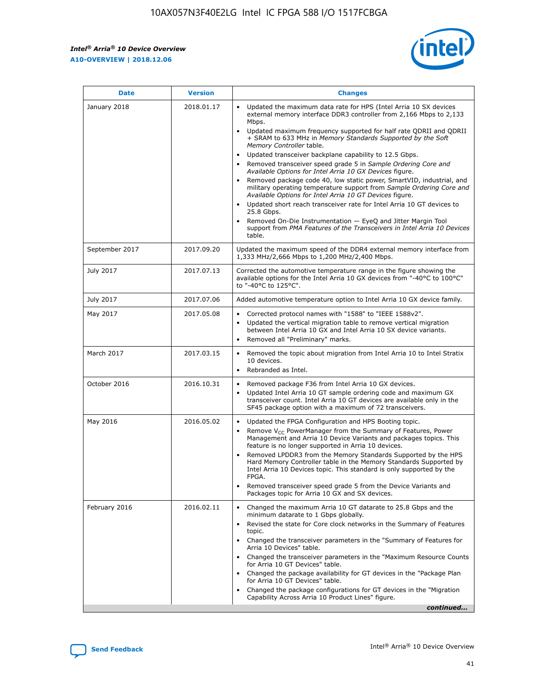

| <b>Date</b>    | <b>Version</b> | <b>Changes</b>                                                                                                                                                                                                                                                                                                                                                                                                                                                                                                                                                                                                                                                                                                                                                                                                                                                                                                                                               |
|----------------|----------------|--------------------------------------------------------------------------------------------------------------------------------------------------------------------------------------------------------------------------------------------------------------------------------------------------------------------------------------------------------------------------------------------------------------------------------------------------------------------------------------------------------------------------------------------------------------------------------------------------------------------------------------------------------------------------------------------------------------------------------------------------------------------------------------------------------------------------------------------------------------------------------------------------------------------------------------------------------------|
| January 2018   | 2018.01.17     | Updated the maximum data rate for HPS (Intel Arria 10 SX devices<br>external memory interface DDR3 controller from 2,166 Mbps to 2,133<br>Mbps.<br>Updated maximum frequency supported for half rate QDRII and QDRII<br>+ SRAM to 633 MHz in Memory Standards Supported by the Soft<br>Memory Controller table.<br>Updated transceiver backplane capability to 12.5 Gbps.<br>Removed transceiver speed grade 5 in Sample Ordering Core and<br>Available Options for Intel Arria 10 GX Devices figure.<br>Removed package code 40, low static power, SmartVID, industrial, and<br>military operating temperature support from Sample Ordering Core and<br>Available Options for Intel Arria 10 GT Devices figure.<br>Updated short reach transceiver rate for Intel Arria 10 GT devices to<br>25.8 Gbps.<br>Removed On-Die Instrumentation - EyeQ and Jitter Margin Tool<br>support from PMA Features of the Transceivers in Intel Arria 10 Devices<br>table. |
| September 2017 | 2017.09.20     | Updated the maximum speed of the DDR4 external memory interface from<br>1,333 MHz/2,666 Mbps to 1,200 MHz/2,400 Mbps.                                                                                                                                                                                                                                                                                                                                                                                                                                                                                                                                                                                                                                                                                                                                                                                                                                        |
| July 2017      | 2017.07.13     | Corrected the automotive temperature range in the figure showing the<br>available options for the Intel Arria 10 GX devices from "-40°C to 100°C"<br>to "-40°C to 125°C".                                                                                                                                                                                                                                                                                                                                                                                                                                                                                                                                                                                                                                                                                                                                                                                    |
| July 2017      | 2017.07.06     | Added automotive temperature option to Intel Arria 10 GX device family.                                                                                                                                                                                                                                                                                                                                                                                                                                                                                                                                                                                                                                                                                                                                                                                                                                                                                      |
| May 2017       | 2017.05.08     | Corrected protocol names with "1588" to "IEEE 1588v2".<br>$\bullet$<br>Updated the vertical migration table to remove vertical migration<br>$\bullet$<br>between Intel Arria 10 GX and Intel Arria 10 SX device variants.<br>Removed all "Preliminary" marks.<br>$\bullet$                                                                                                                                                                                                                                                                                                                                                                                                                                                                                                                                                                                                                                                                                   |
| March 2017     | 2017.03.15     | Removed the topic about migration from Intel Arria 10 to Intel Stratix<br>$\bullet$<br>10 devices.<br>Rebranded as Intel.<br>$\bullet$                                                                                                                                                                                                                                                                                                                                                                                                                                                                                                                                                                                                                                                                                                                                                                                                                       |
| October 2016   | 2016.10.31     | Removed package F36 from Intel Arria 10 GX devices.<br>Updated Intel Arria 10 GT sample ordering code and maximum GX<br>$\bullet$<br>transceiver count. Intel Arria 10 GT devices are available only in the<br>SF45 package option with a maximum of 72 transceivers.                                                                                                                                                                                                                                                                                                                                                                                                                                                                                                                                                                                                                                                                                        |
| May 2016       | 2016.05.02     | Updated the FPGA Configuration and HPS Booting topic.<br>$\bullet$<br>Remove V <sub>CC</sub> PowerManager from the Summary of Features, Power<br>Management and Arria 10 Device Variants and packages topics. This<br>feature is no longer supported in Arria 10 devices.<br>Removed LPDDR3 from the Memory Standards Supported by the HPS<br>Hard Memory Controller table in the Memory Standards Supported by<br>Intel Arria 10 Devices topic. This standard is only supported by the<br><b>FPGA</b><br>Removed transceiver speed grade 5 from the Device Variants and<br>Packages topic for Arria 10 GX and SX devices.                                                                                                                                                                                                                                                                                                                                   |
| February 2016  | 2016.02.11     | Changed the maximum Arria 10 GT datarate to 25.8 Gbps and the<br>$\bullet$<br>minimum datarate to 1 Gbps globally.<br>Revised the state for Core clock networks in the Summary of Features<br>$\bullet$<br>topic.<br>Changed the transceiver parameters in the "Summary of Features for<br>$\bullet$<br>Arria 10 Devices" table.<br>Changed the transceiver parameters in the "Maximum Resource Counts<br>for Arria 10 GT Devices" table.<br>Changed the package availability for GT devices in the "Package Plan<br>for Arria 10 GT Devices" table.<br>Changed the package configurations for GT devices in the "Migration"<br>Capability Across Arria 10 Product Lines" figure.<br>continued                                                                                                                                                                                                                                                               |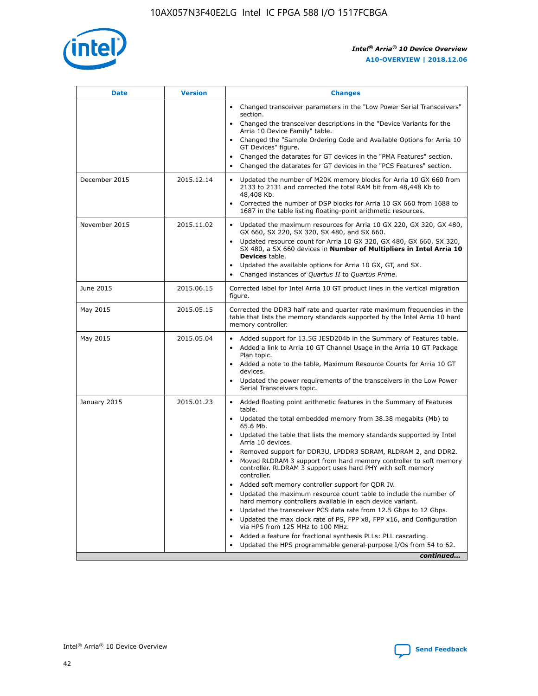

| <b>Date</b>   | <b>Version</b> | <b>Changes</b>                                                                                                                                                               |
|---------------|----------------|------------------------------------------------------------------------------------------------------------------------------------------------------------------------------|
|               |                | • Changed transceiver parameters in the "Low Power Serial Transceivers"<br>section.                                                                                          |
|               |                | • Changed the transceiver descriptions in the "Device Variants for the<br>Arria 10 Device Family" table.                                                                     |
|               |                | Changed the "Sample Ordering Code and Available Options for Arria 10<br>$\bullet$<br>GT Devices" figure.                                                                     |
|               |                | Changed the datarates for GT devices in the "PMA Features" section.                                                                                                          |
|               |                | Changed the datarates for GT devices in the "PCS Features" section.<br>$\bullet$                                                                                             |
| December 2015 | 2015.12.14     | Updated the number of M20K memory blocks for Arria 10 GX 660 from<br>2133 to 2131 and corrected the total RAM bit from 48,448 Kb to<br>48,408 Kb.                            |
|               |                | Corrected the number of DSP blocks for Arria 10 GX 660 from 1688 to<br>1687 in the table listing floating-point arithmetic resources.                                        |
| November 2015 | 2015.11.02     | Updated the maximum resources for Arria 10 GX 220, GX 320, GX 480,<br>$\bullet$<br>GX 660, SX 220, SX 320, SX 480, and SX 660.                                               |
|               |                | • Updated resource count for Arria 10 GX 320, GX 480, GX 660, SX 320,<br>SX 480, a SX 660 devices in Number of Multipliers in Intel Arria 10<br><b>Devices</b> table.        |
|               |                | Updated the available options for Arria 10 GX, GT, and SX.                                                                                                                   |
|               |                | Changed instances of Quartus II to Quartus Prime.<br>$\bullet$                                                                                                               |
| June 2015     | 2015.06.15     | Corrected label for Intel Arria 10 GT product lines in the vertical migration<br>figure.                                                                                     |
| May 2015      | 2015.05.15     | Corrected the DDR3 half rate and quarter rate maximum frequencies in the<br>table that lists the memory standards supported by the Intel Arria 10 hard<br>memory controller. |
| May 2015      | 2015.05.04     | • Added support for 13.5G JESD204b in the Summary of Features table.<br>• Added a link to Arria 10 GT Channel Usage in the Arria 10 GT Package<br>Plan topic.                |
|               |                | • Added a note to the table, Maximum Resource Counts for Arria 10 GT<br>devices.                                                                                             |
|               |                | • Updated the power requirements of the transceivers in the Low Power<br>Serial Transceivers topic.                                                                          |
| January 2015  | 2015.01.23     | • Added floating point arithmetic features in the Summary of Features<br>table.                                                                                              |
|               |                | • Updated the total embedded memory from 38.38 megabits (Mb) to<br>65.6 Mb.                                                                                                  |
|               |                | • Updated the table that lists the memory standards supported by Intel<br>Arria 10 devices.                                                                                  |
|               |                | Removed support for DDR3U, LPDDR3 SDRAM, RLDRAM 2, and DDR2.                                                                                                                 |
|               |                | Moved RLDRAM 3 support from hard memory controller to soft memory<br>controller. RLDRAM 3 support uses hard PHY with soft memory<br>controller.                              |
|               |                | Added soft memory controller support for QDR IV.<br>٠                                                                                                                        |
|               |                | Updated the maximum resource count table to include the number of<br>hard memory controllers available in each device variant.                                               |
|               |                | Updated the transceiver PCS data rate from 12.5 Gbps to 12 Gbps.<br>$\bullet$                                                                                                |
|               |                | Updated the max clock rate of PS, FPP x8, FPP x16, and Configuration<br>via HPS from 125 MHz to 100 MHz.                                                                     |
|               |                | Added a feature for fractional synthesis PLLs: PLL cascading.                                                                                                                |
|               |                | Updated the HPS programmable general-purpose I/Os from 54 to 62.<br>$\bullet$<br>continued                                                                                   |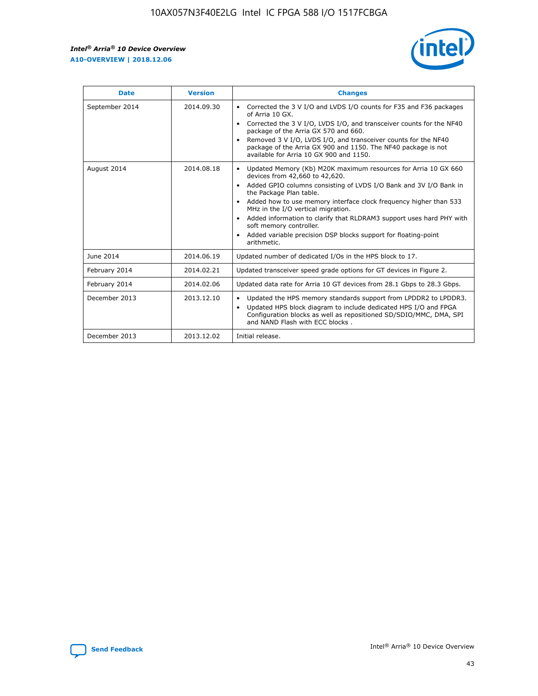r



| <b>Date</b>    | <b>Version</b> | <b>Changes</b>                                                                                                                                                                                                                                                                                                                                                                                                                                                                                                                                      |
|----------------|----------------|-----------------------------------------------------------------------------------------------------------------------------------------------------------------------------------------------------------------------------------------------------------------------------------------------------------------------------------------------------------------------------------------------------------------------------------------------------------------------------------------------------------------------------------------------------|
| September 2014 | 2014.09.30     | Corrected the 3 V I/O and LVDS I/O counts for F35 and F36 packages<br>$\bullet$<br>of Arria 10 GX.<br>Corrected the 3 V I/O, LVDS I/O, and transceiver counts for the NF40<br>$\bullet$<br>package of the Arria GX 570 and 660.<br>Removed 3 V I/O, LVDS I/O, and transceiver counts for the NF40<br>$\bullet$<br>package of the Arria GX 900 and 1150. The NF40 package is not<br>available for Arria 10 GX 900 and 1150.                                                                                                                          |
| August 2014    | 2014.08.18     | Updated Memory (Kb) M20K maximum resources for Arria 10 GX 660<br>devices from 42,660 to 42,620.<br>Added GPIO columns consisting of LVDS I/O Bank and 3V I/O Bank in<br>$\bullet$<br>the Package Plan table.<br>Added how to use memory interface clock frequency higher than 533<br>$\bullet$<br>MHz in the I/O vertical migration.<br>Added information to clarify that RLDRAM3 support uses hard PHY with<br>$\bullet$<br>soft memory controller.<br>Added variable precision DSP blocks support for floating-point<br>$\bullet$<br>arithmetic. |
| June 2014      | 2014.06.19     | Updated number of dedicated I/Os in the HPS block to 17.                                                                                                                                                                                                                                                                                                                                                                                                                                                                                            |
| February 2014  | 2014.02.21     | Updated transceiver speed grade options for GT devices in Figure 2.                                                                                                                                                                                                                                                                                                                                                                                                                                                                                 |
| February 2014  | 2014.02.06     | Updated data rate for Arria 10 GT devices from 28.1 Gbps to 28.3 Gbps.                                                                                                                                                                                                                                                                                                                                                                                                                                                                              |
| December 2013  | 2013.12.10     | Updated the HPS memory standards support from LPDDR2 to LPDDR3.<br>Updated HPS block diagram to include dedicated HPS I/O and FPGA<br>$\bullet$<br>Configuration blocks as well as repositioned SD/SDIO/MMC, DMA, SPI<br>and NAND Flash with ECC blocks.                                                                                                                                                                                                                                                                                            |
| December 2013  | 2013.12.02     | Initial release.                                                                                                                                                                                                                                                                                                                                                                                                                                                                                                                                    |